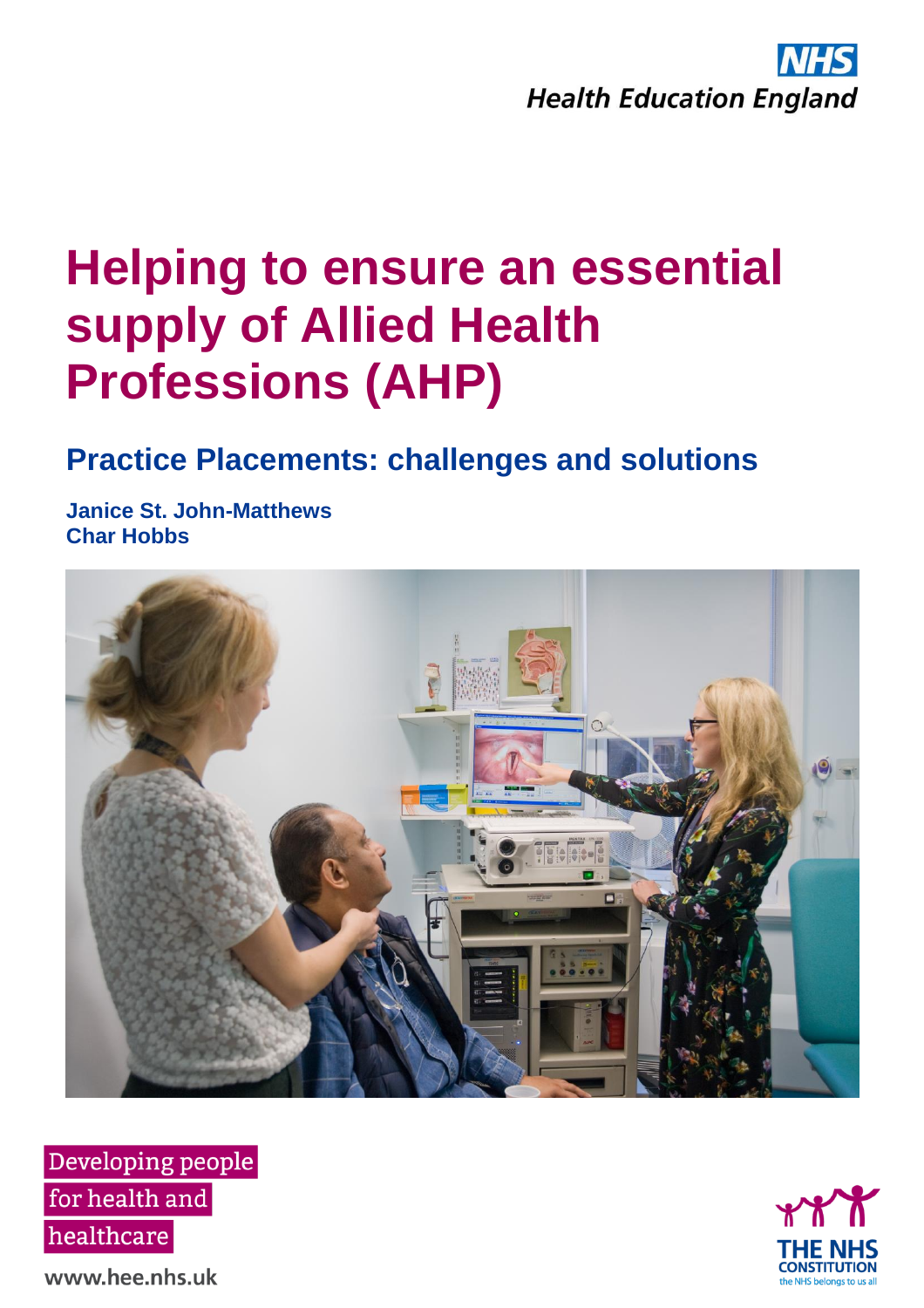

# **Helping to ensure an essential supply of Allied Health Professions (AHP)**

# **Practice Placements: challenges and solutions**

**Janice St. John-Matthews Char Hobbs**







www.hee.nhs.uk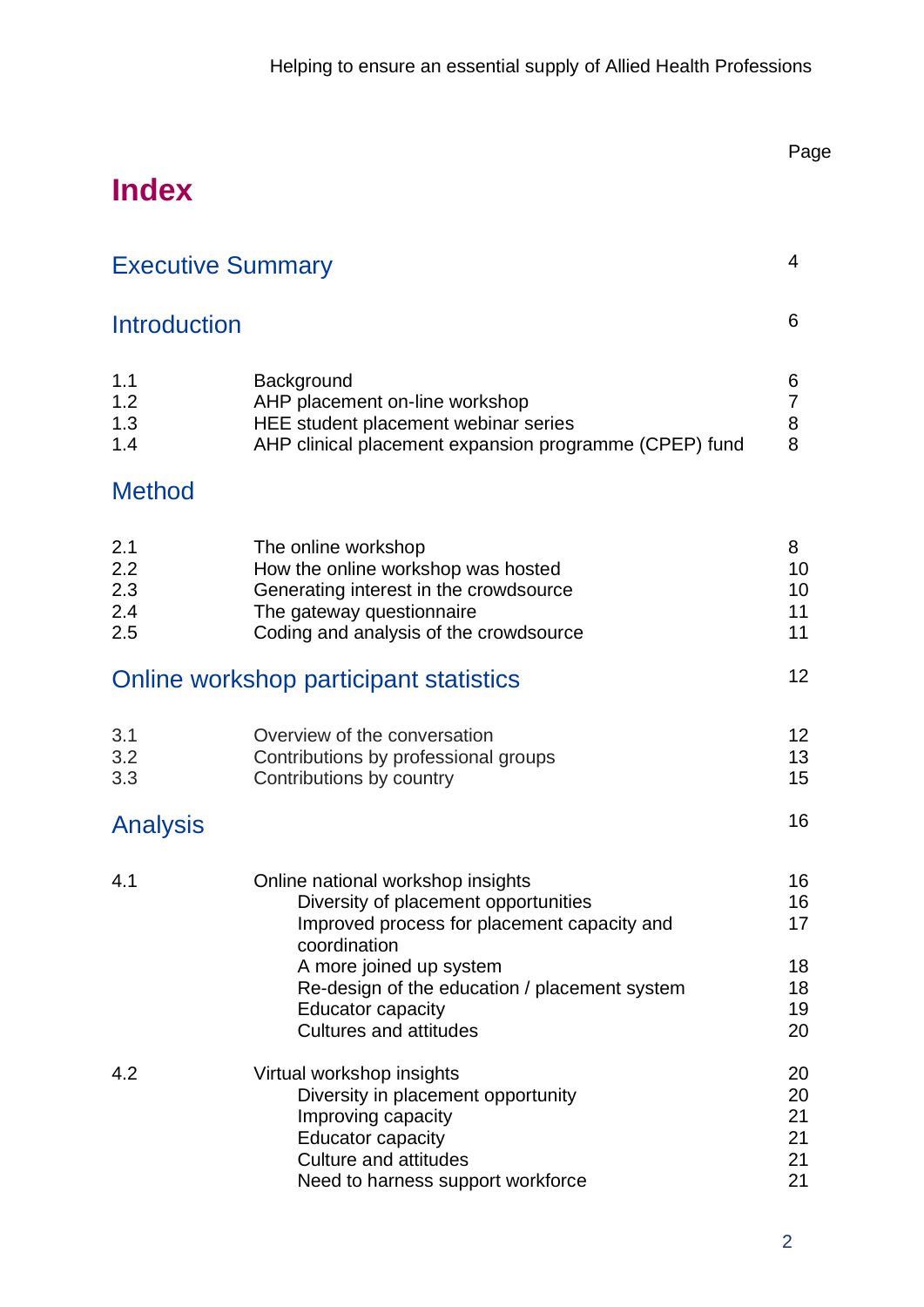# **Index**

| <b>Executive Summary</b>        |                                                                                                                                                                                                                                                                                   | $\overline{4}$                         |
|---------------------------------|-----------------------------------------------------------------------------------------------------------------------------------------------------------------------------------------------------------------------------------------------------------------------------------|----------------------------------------|
| <b>Introduction</b>             |                                                                                                                                                                                                                                                                                   | 6                                      |
| 1.1<br>1.2<br>1.3<br>1.4        | Background<br>AHP placement on-line workshop<br>HEE student placement webinar series<br>AHP clinical placement expansion programme (CPEP) fund                                                                                                                                    | 6<br>7<br>8<br>8                       |
| <b>Method</b>                   |                                                                                                                                                                                                                                                                                   |                                        |
| 2.1<br>2.2<br>2.3<br>2.4<br>2.5 | The online workshop<br>How the online workshop was hosted<br>Generating interest in the crowdsource<br>The gateway questionnaire<br>Coding and analysis of the crowdsource                                                                                                        | 8<br>10<br>10<br>11<br>11              |
|                                 | Online workshop participant statistics                                                                                                                                                                                                                                            | 12                                     |
| 3.1<br>3.2<br>3.3               | Overview of the conversation<br>Contributions by professional groups<br>Contributions by country                                                                                                                                                                                  | 12<br>13<br>15                         |
| <b>Analysis</b>                 |                                                                                                                                                                                                                                                                                   | 16                                     |
| 4.1                             | Online national workshop insights<br>Diversity of placement opportunities<br>Improved process for placement capacity and<br>coordination<br>A more joined up system<br>Re-design of the education / placement system<br><b>Educator capacity</b><br><b>Cultures and attitudes</b> | 16<br>16<br>17<br>18<br>18<br>19<br>20 |
| 4.2                             | Virtual workshop insights<br>Diversity in placement opportunity<br>Improving capacity<br><b>Educator capacity</b><br><b>Culture and attitudes</b><br>Need to harness support workforce                                                                                            | 20<br>20<br>21<br>21<br>21<br>21       |

Page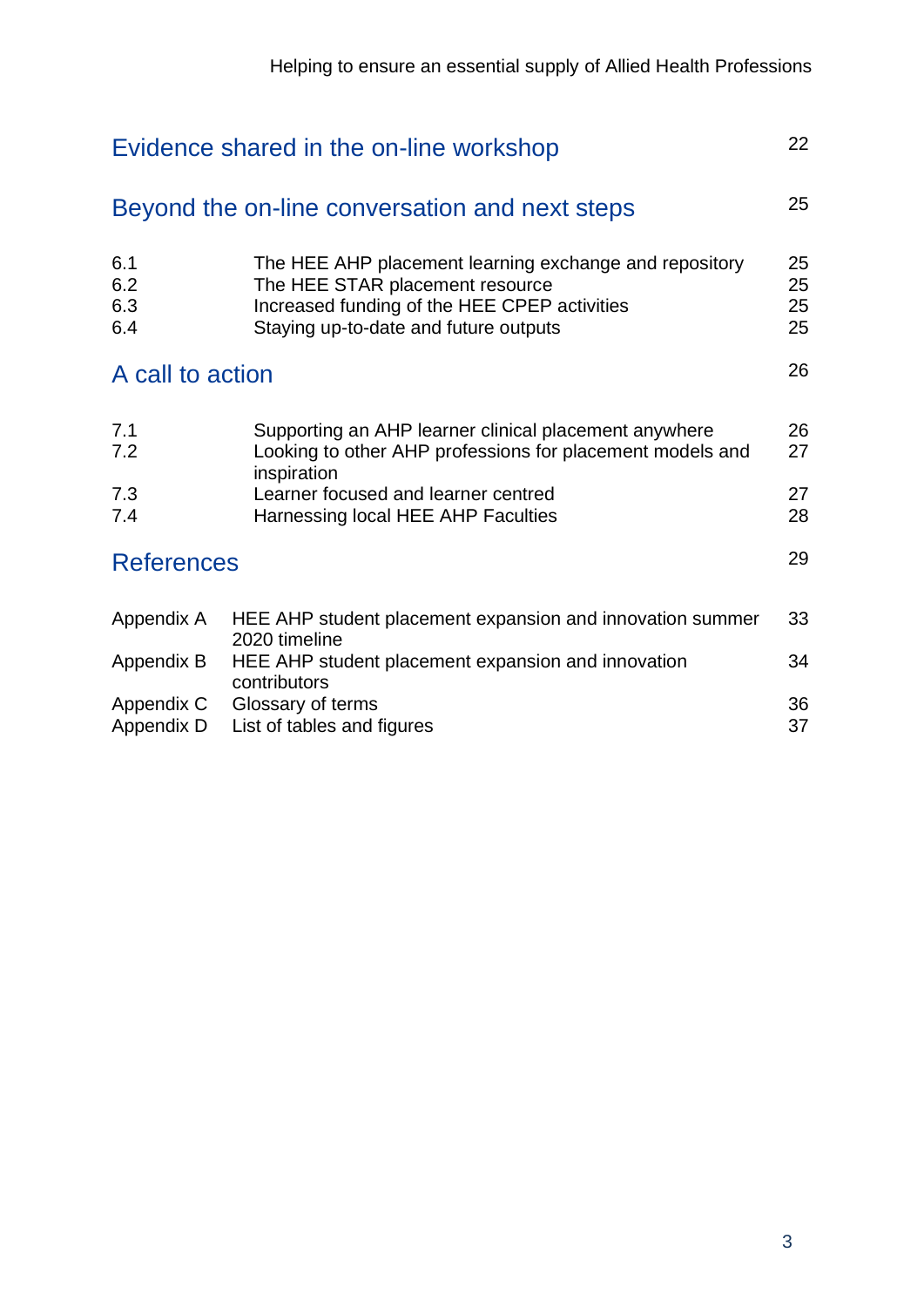| Evidence shared in the on-line workshop |                                                                                                                                                                                    |                      |
|-----------------------------------------|------------------------------------------------------------------------------------------------------------------------------------------------------------------------------------|----------------------|
|                                         | Beyond the on-line conversation and next steps                                                                                                                                     | 25                   |
| 6.1<br>6.2<br>6.3<br>6.4                | The HEE AHP placement learning exchange and repository<br>The HEE STAR placement resource<br>Increased funding of the HEE CPEP activities<br>Staying up-to-date and future outputs | 25<br>25<br>25<br>25 |
| A call to action                        |                                                                                                                                                                                    | 26                   |
| 7.1<br>7.2                              | Supporting an AHP learner clinical placement anywhere<br>Looking to other AHP professions for placement models and<br>inspiration                                                  | 26<br>27             |
| 7.3<br>7.4                              | Learner focused and learner centred<br>Harnessing local HEE AHP Faculties                                                                                                          | 27<br>28             |
| <b>References</b>                       |                                                                                                                                                                                    | 29                   |
| Appendix A                              | HEE AHP student placement expansion and innovation summer<br>2020 timeline                                                                                                         | 33                   |
| Appendix B                              | HEE AHP student placement expansion and innovation<br>contributors                                                                                                                 | 34                   |
| Appendix C<br>Appendix D                | Glossary of terms<br>List of tables and figures                                                                                                                                    |                      |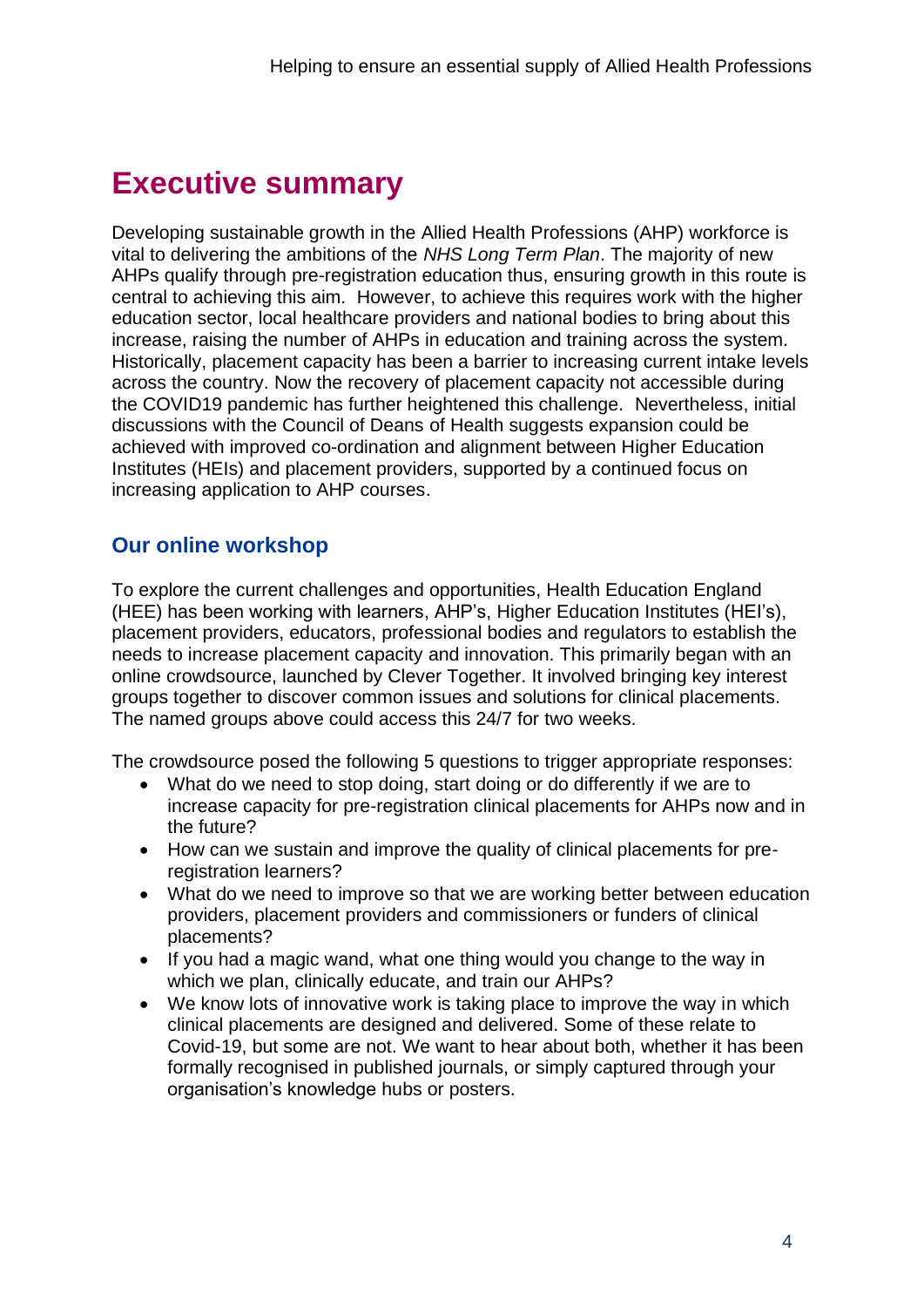# **Executive summary**

Developing sustainable growth in the Allied Health Professions (AHP) workforce is vital to delivering the ambitions of the *NHS Long Term Plan*. The majority of new AHPs qualify through pre-registration education thus, ensuring growth in this route is central to achieving this aim. However, to achieve this requires work with the higher education sector, local healthcare providers and national bodies to bring about this increase, raising the number of AHPs in education and training across the system. Historically, placement capacity has been a barrier to increasing current intake levels across the country. Now the recovery of placement capacity not accessible during the COVID19 pandemic has further heightened this challenge. Nevertheless, initial discussions with the Council of Deans of Health suggests expansion could be achieved with improved co-ordination and alignment between Higher Education Institutes (HEIs) and placement providers, supported by a continued focus on increasing application to AHP courses.

### **Our online workshop**

To explore the current challenges and opportunities, Health Education England (HEE) has been working with learners, AHP's, Higher Education Institutes (HEI's), placement providers, educators, professional bodies and regulators to establish the needs to increase placement capacity and innovation. This primarily began with an online crowdsource, launched by Clever Together. It involved bringing key interest groups together to discover common issues and solutions for clinical placements. The named groups above could access this 24/7 for two weeks.

The crowdsource posed the following 5 questions to trigger appropriate responses:

- What do we need to stop doing, start doing or do differently if we are to increase capacity for pre-registration clinical placements for AHPs now and in the future?
- How can we sustain and improve the quality of clinical placements for preregistration learners?
- What do we need to improve so that we are working better between education providers, placement providers and commissioners or funders of clinical placements?
- If you had a magic wand, what one thing would you change to the way in which we plan, clinically educate, and train our AHPs?
- We know lots of innovative work is taking place to improve the way in which clinical placements are designed and delivered. Some of these relate to Covid-19, but some are not. We want to hear about both, whether it has been formally recognised in published journals, or simply captured through your organisation's knowledge hubs or posters.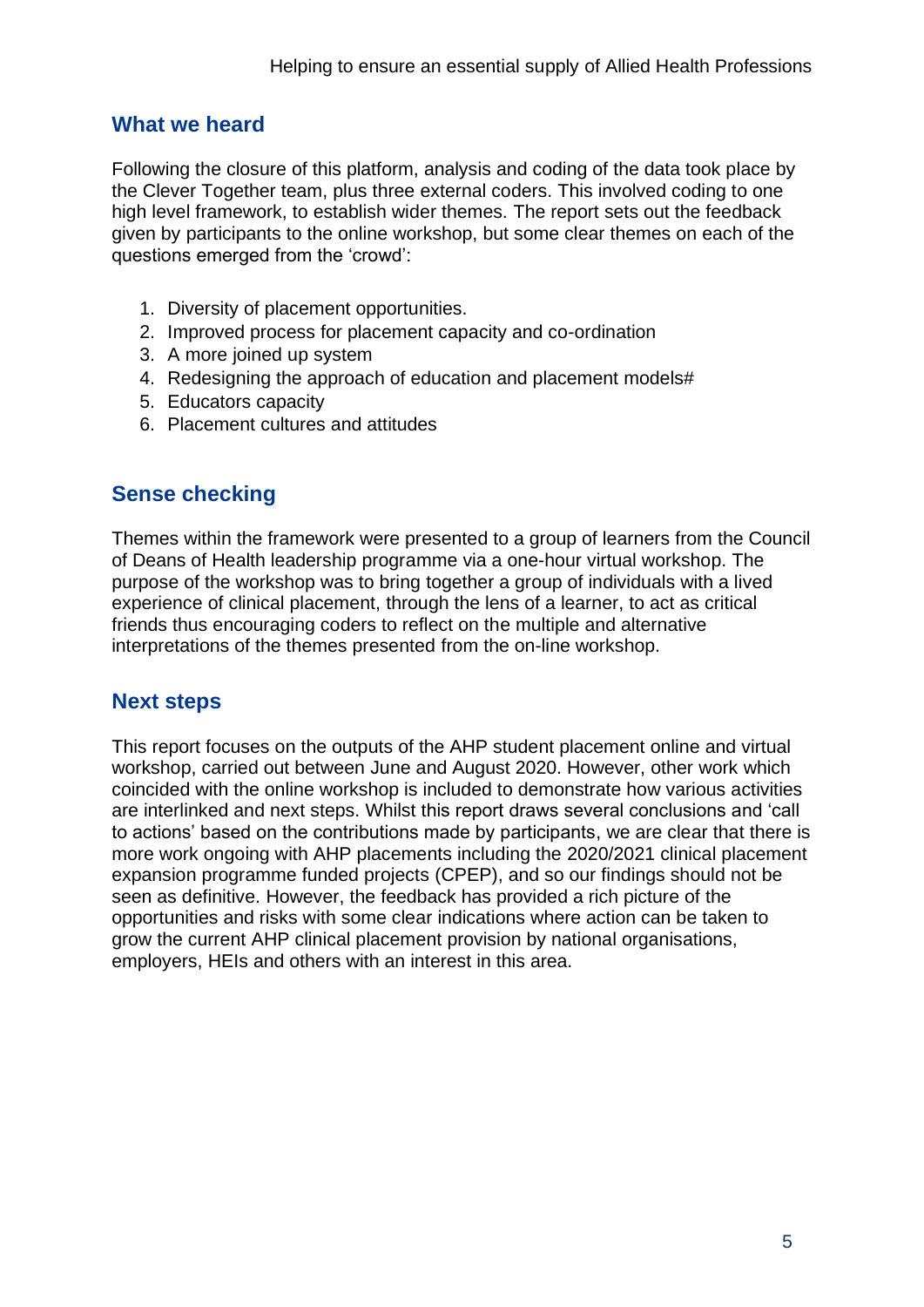#### **What we heard**

Following the closure of this platform, analysis and coding of the data took place by the Clever Together team, plus three external coders. This involved coding to one high level framework, to establish wider themes. The report sets out the feedback given by participants to the online workshop, but some clear themes on each of the questions emerged from the 'crowd':

- 1. Diversity of placement opportunities.
- 2. Improved process for placement capacity and co-ordination
- 3. A more joined up system
- 4. Redesigning the approach of education and placement models#
- 5. Educators capacity
- 6. Placement cultures and attitudes

#### **Sense checking**

Themes within the framework were presented to a group of learners from the Council of Deans of Health leadership programme via a one-hour virtual workshop. The purpose of the workshop was to bring together a group of individuals with a lived experience of clinical placement, through the lens of a learner, to act as critical friends thus encouraging coders to reflect on the multiple and alternative interpretations of the themes presented from the on-line workshop.

# **Next steps**

This report focuses on the outputs of the AHP student placement online and virtual workshop, carried out between June and August 2020. However, other work which coincided with the online workshop is included to demonstrate how various activities are interlinked and next steps. Whilst this report draws several conclusions and 'call to actions' based on the contributions made by participants, we are clear that there is more work ongoing with AHP placements including the 2020/2021 clinical placement expansion programme funded projects (CPEP), and so our findings should not be seen as definitive. However, the feedback has provided a rich picture of the opportunities and risks with some clear indications where action can be taken to grow the current AHP clinical placement provision by national organisations, employers, HEIs and others with an interest in this area.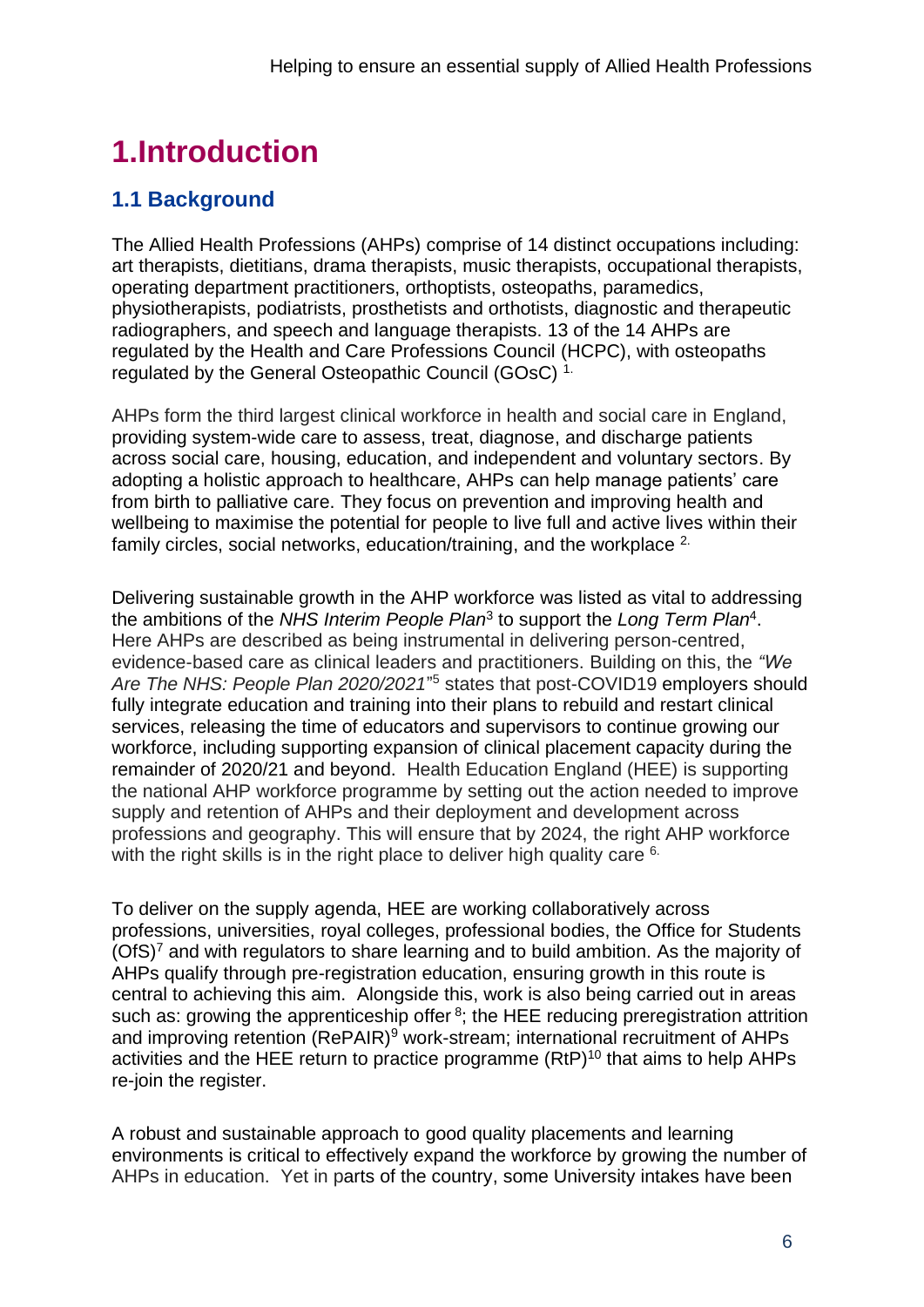# **1.Introduction**

# **1.1 Background**

The Allied Health Professions (AHPs) comprise of 14 distinct occupations including: art therapists, dietitians, drama therapists, music therapists, occupational therapists, operating department practitioners, orthoptists, osteopaths, paramedics, physiotherapists, podiatrists, prosthetists and orthotists, diagnostic and therapeutic radiographers, and speech and language therapists. 13 of the 14 AHPs are regulated by the Health and Care Professions Council (HCPC), with osteopaths regulated by the General Osteopathic Council (GOsC) 1.

AHPs form the third largest clinical workforce in health and social care in England, providing system-wide care to assess, treat, diagnose, and discharge patients across social care, housing, education, and independent and voluntary sectors. By adopting a holistic approach to healthcare, AHPs can help manage patients' care from birth to palliative care. They focus on prevention and improving health and wellbeing to maximise the potential for people to live full and active lives within their family circles, social networks, education/training, and the workplace <sup>2.</sup>

Delivering sustainable growth in the AHP workforce was listed as vital to addressing the ambitions of the NHS Interim People Plan<sup>3</sup> to support the Long Term Plan<sup>4</sup>. Here AHPs are described as being instrumental in delivering person-centred, evidence-based care as clinical leaders and practitioners. Building on this, the *"We Are The NHS: People Plan 2020/2021*" <sup>5</sup> states that post-COVID19 employers should fully integrate education and training into their plans to rebuild and restart clinical services, releasing the time of educators and supervisors to continue growing our workforce, including supporting expansion of clinical placement capacity during the remainder of 2020/21 and beyond. Health Education England (HEE) is supporting the national AHP workforce programme by setting out the action needed to improve supply and retention of AHPs and their deployment and development across professions and geography. This will ensure that by 2024, the right AHP workforce with the right skills is in the right place to deliver high quality care <sup>6.</sup>

To deliver on the supply agenda, HEE are working collaboratively across professions, universities, royal colleges, professional bodies, the Office for Students (OfS)<sup>7</sup> and with regulators to share learning and to build ambition. As the majority of AHPs qualify through pre-registration education, ensuring growth in this route is central to achieving this aim. Alongside this, work is also being carried out in areas such as: growing the apprenticeship offer  $8$ ; the HEE reducing preregistration attrition and improving retention (RePAIR)<sup>9</sup> work-stream; international recruitment of AHPs activities and the HEE return to practice programme  $(RtP)^{10}$  that aims to help AHPs re-join the register.

A robust and sustainable approach to good quality placements and learning environments is critical to effectively expand the workforce by growing the number of AHPs in education. Yet in parts of the country, some University intakes have been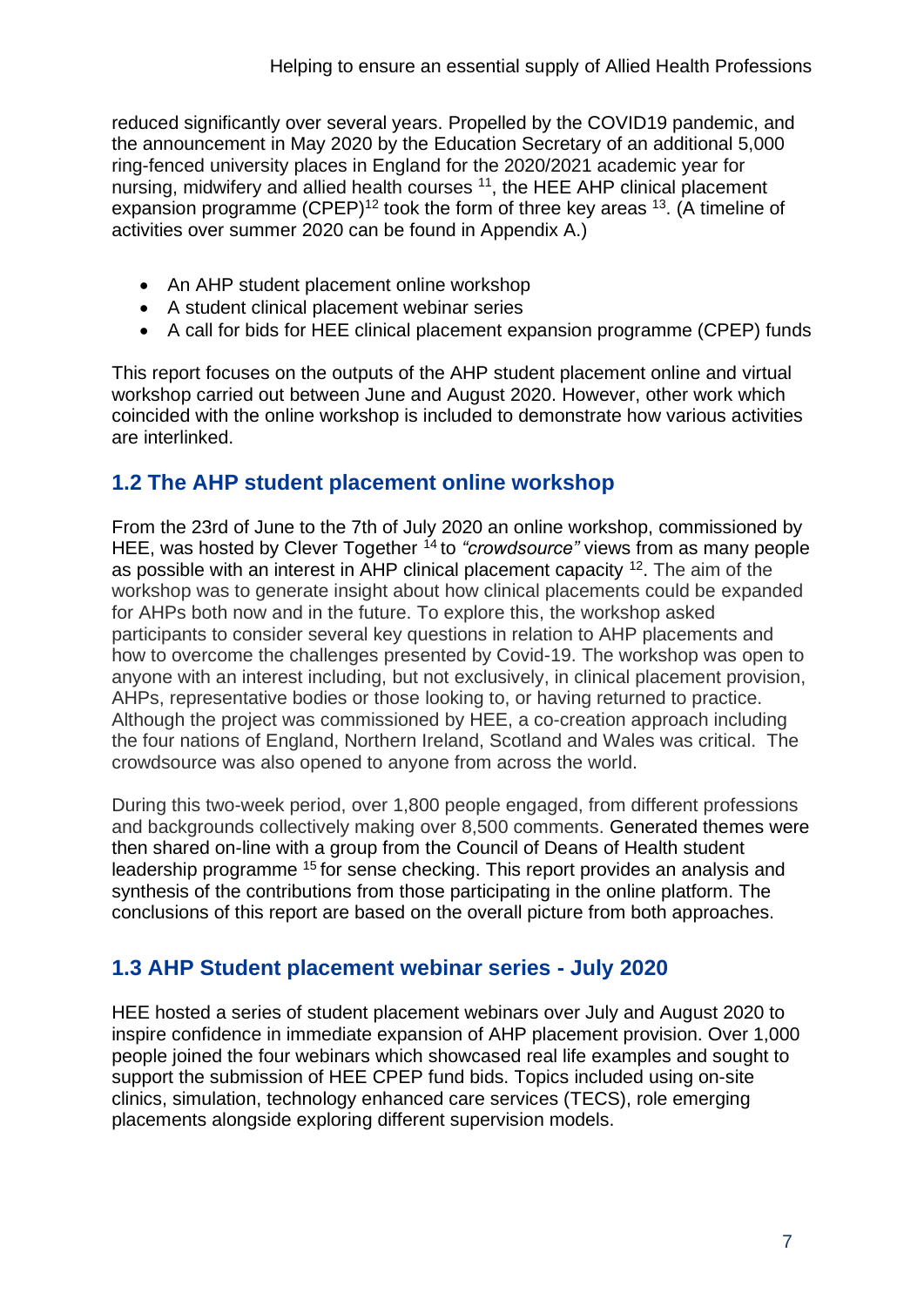reduced significantly over several years. Propelled by the COVID19 pandemic, and the announcement in May 2020 by the Education Secretary of an additional 5,000 ring-fenced university places in England for the 2020/2021 academic year for nursing, midwifery and allied health courses <sup>11</sup>, the HEE AHP clinical placement expansion programme  $(CPEP)^{12}$  took the form of three key areas  $^{13}$ . (A timeline of activities over summer 2020 can be found in Appendix A.)

- An AHP student placement online workshop
- A student clinical placement webinar series
- A call for bids for HEE clinical placement expansion programme (CPEP) funds

This report focuses on the outputs of the AHP student placement online and virtual workshop carried out between June and August 2020. However, other work which coincided with the online workshop is included to demonstrate how various activities are interlinked.

# **1.2 The AHP student placement online workshop**

From the 23rd of June to the 7th of July 2020 an online workshop, commissioned by HEE, was hosted by Clever Together <sup>14</sup> to "crowdsource" views from as many people as possible with an interest in AHP clinical placement capacity  $12$ . The aim of the workshop was to generate insight about how clinical placements could be expanded for AHPs both now and in the future. To explore this, the workshop asked participants to consider several key questions in relation to AHP placements and how to overcome the challenges presented by Covid-19. The workshop was open to anyone with an interest including, but not exclusively, in clinical placement provision, AHPs, representative bodies or those looking to, or having returned to practice. Although the project was commissioned by HEE, a co-creation approach including the four nations of England, Northern Ireland, Scotland and Wales was critical. The crowdsource was also opened to anyone from across the world.

During this two-week period, over 1,800 people engaged, from different professions and backgrounds collectively making over 8,500 comments. Generated themes were then shared on-line with a group from the Council of Deans of Health student leadership programme <sup>15</sup> for sense checking. This report provides an analysis and synthesis of the contributions from those participating in the online platform. The conclusions of this report are based on the overall picture from both approaches.

### **1.3 AHP Student placement webinar series - July 2020**

HEE hosted a series of student placement webinars over July and August 2020 to inspire confidence in immediate expansion of AHP placement provision. Over 1,000 people joined the four webinars which showcased real life examples and sought to support the submission of HEE CPEP fund bids. Topics included using on-site clinics, simulation, technology enhanced care services (TECS), role emerging placements alongside exploring different supervision models.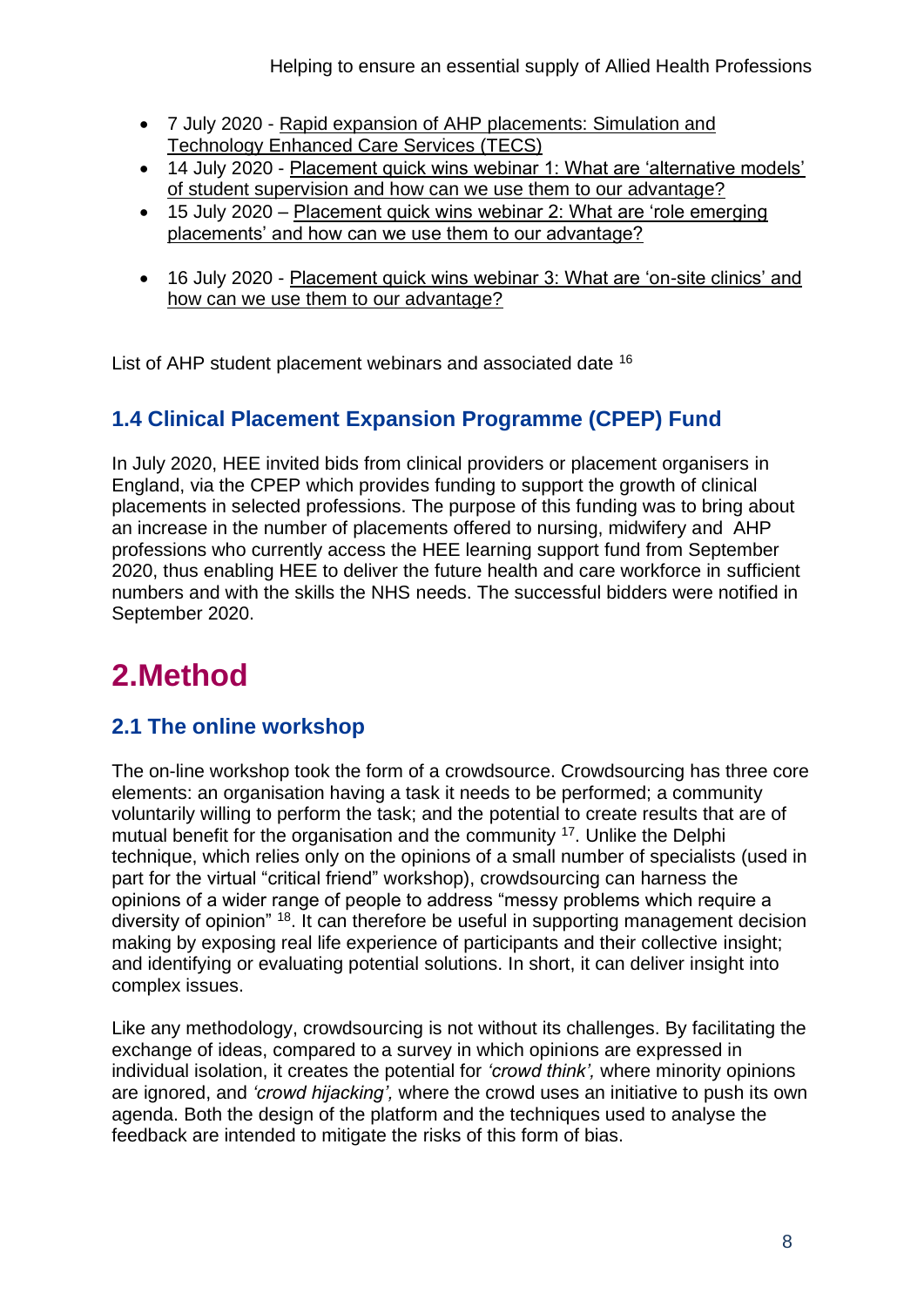- 7 July 2020 [Rapid expansion of AHP placements: Simulation and](https://www.youtube.com/watch?v=wplm_qAxZuw&feature=youtu.be)  [Technology Enhanced Care Services \(TECS\)](https://www.youtube.com/watch?v=wplm_qAxZuw&feature=youtu.be)
- 14 July 2020 [Placement quick wins webinar 1: What are 'alternative models'](https://www.youtube.com/watch?v=lGm1CU8O9Bc&feature=youtu.be)  [of student supervision and how can we use them to our advantage?](https://www.youtube.com/watch?v=lGm1CU8O9Bc&feature=youtu.be)
- 15 July 2020 [Placement quick wins webinar 2: What are 'role emerging](https://www.youtube.com/watch?v=4SqDP3cv5YM&feature=youtu.be)  [placements' and how can we use them to our advantage?](https://www.youtube.com/watch?v=4SqDP3cv5YM&feature=youtu.be)
- 16 July 2020 [Placement quick wins webinar 3: What are 'on-site clinics' and](https://www.youtube.com/watch?v=F1ta8dUvOro&feature=youtu.be)  [how can we use them to our advantage?](https://www.youtube.com/watch?v=F1ta8dUvOro&feature=youtu.be)

List of AHP student placement webinars and associated date <sup>16</sup>

# **1.4 Clinical Placement Expansion Programme (CPEP) Fund**

In July 2020, HEE invited bids from clinical providers or placement organisers in England, via the CPEP which provides funding to support the growth of clinical placements in selected professions. The purpose of this funding was to bring about an increase in the number of placements offered to nursing, midwifery and AHP professions who currently access the HEE learning support fund from September 2020, thus enabling HEE to deliver the future health and care workforce in sufficient numbers and with the skills the NHS needs. The successful bidders were notified in September 2020.

# **2.Method**

# **2.1 The online workshop**

The on-line workshop took the form of a crowdsource. Crowdsourcing has three core elements: an organisation having a task it needs to be performed; a community voluntarily willing to perform the task; and the potential to create results that are of mutual benefit for the organisation and the community <sup>17</sup>. Unlike the Delphi technique, which relies only on the opinions of a small number of specialists (used in part for the virtual "critical friend" workshop), crowdsourcing can harness the opinions of a wider range of people to address "messy problems which require a diversity of opinion" <sup>18</sup>. It can therefore be useful in supporting management decision making by exposing real life experience of participants and their collective insight; and identifying or evaluating potential solutions. In short, it can deliver insight into complex issues.

Like any methodology, crowdsourcing is not without its challenges. By facilitating the exchange of ideas, compared to a survey in which opinions are expressed in individual isolation, it creates the potential for *'crowd think',* where minority opinions are ignored, and *'crowd hijacking',* where the crowd uses an initiative to push its own agenda. Both the design of the platform and the techniques used to analyse the feedback are intended to mitigate the risks of this form of bias.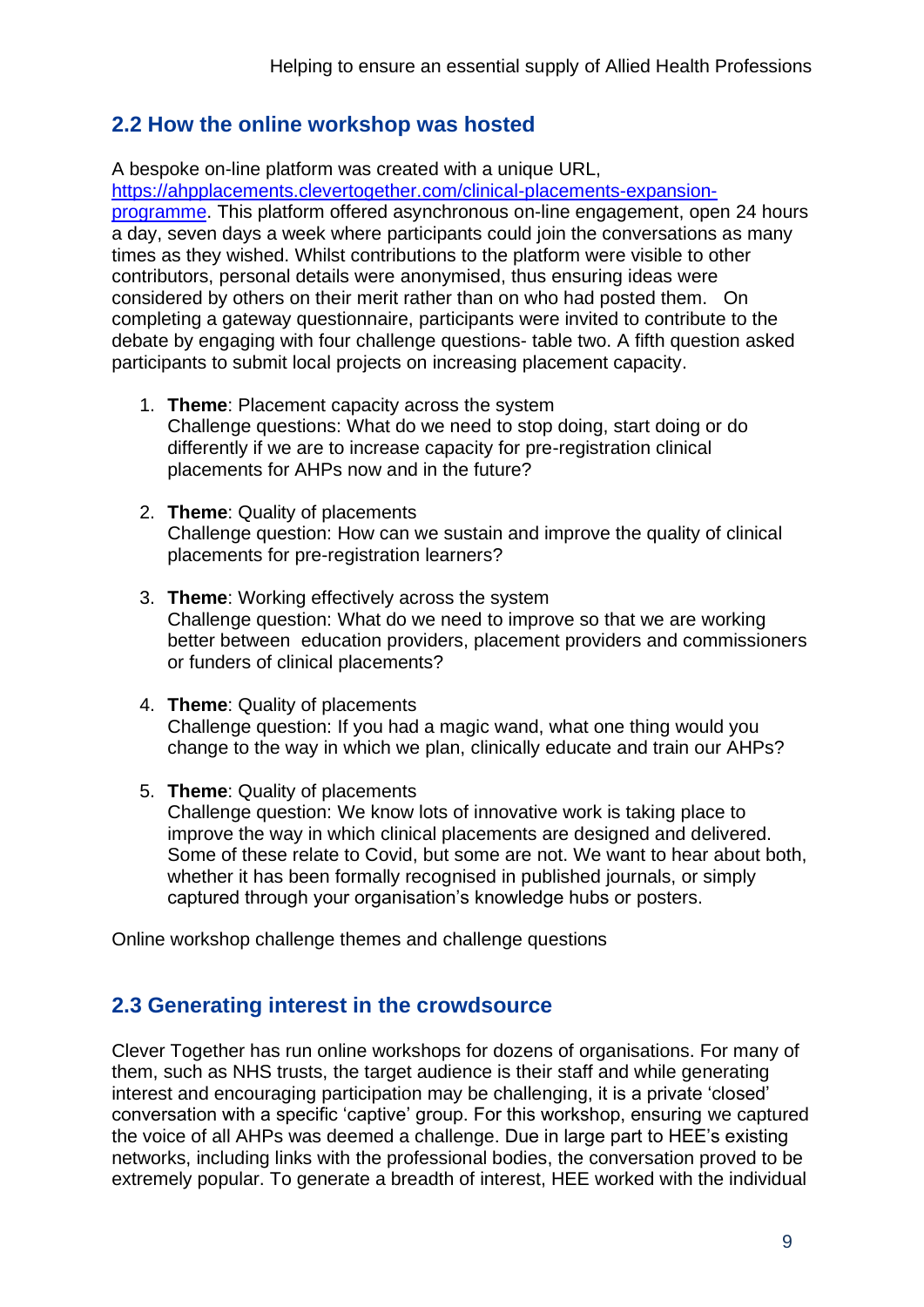#### **2.2 How the online workshop was hosted**

A bespoke on-line platform was created with a unique URL, [https://ahpplacements.clevertogether.com/clinical-placements-expansion](https://eur01.safelinks.protection.outlook.com/?url=https%3A%2F%2Fahpplacements.clevertogether.com%2Fclinical-placements-expansion-programme&data=02%7C01%7CJanice.Stjohn-matthews%40uwe.ac.uk%7Cbf57eadef8b246b411c508d81cfdc044%7C07ef1208413c4b5e9cdd64ef305754f0%7C0%7C0%7C637291223742069463&sdata=i1XwMwCL5kqFQMSyawYuFQZOcvYIzJV730ZUydHm8Yg%3D&reserved=0)[programme.](https://eur01.safelinks.protection.outlook.com/?url=https%3A%2F%2Fahpplacements.clevertogether.com%2Fclinical-placements-expansion-programme&data=02%7C01%7CJanice.Stjohn-matthews%40uwe.ac.uk%7Cbf57eadef8b246b411c508d81cfdc044%7C07ef1208413c4b5e9cdd64ef305754f0%7C0%7C0%7C637291223742069463&sdata=i1XwMwCL5kqFQMSyawYuFQZOcvYIzJV730ZUydHm8Yg%3D&reserved=0) This platform offered asynchronous on-line engagement, open 24 hours a day, seven days a week where participants could join the conversations as many times as they wished. Whilst contributions to the platform were visible to other contributors, personal details were anonymised, thus ensuring ideas were considered by others on their merit rather than on who had posted them. On completing a gateway questionnaire, participants were invited to contribute to the debate by engaging with four challenge questions- table two. A fifth question asked participants to submit local projects on increasing placement capacity.

- 1. **Theme**: Placement capacity across the system Challenge questions: What do we need to stop doing, start doing or do differently if we are to increase capacity for pre-registration clinical placements for AHPs now and in the future?
- 2. **Theme**: Quality of placements Challenge question: How can we sustain and improve the quality of clinical placements for pre-registration learners?
- 3. **Theme**: Working effectively across the system Challenge question: What do we need to improve so that we are working better between education providers, placement providers and commissioners or funders of clinical placements?
- 4. **Theme**: Quality of placements Challenge question: If you had a magic wand, what one thing would you change to the way in which we plan, clinically educate and train our AHPs?
- 5. **Theme**: Quality of placements

Challenge question: We know lots of innovative work is taking place to improve the way in which clinical placements are designed and delivered. Some of these relate to Covid, but some are not. We want to hear about both, whether it has been formally recognised in published journals, or simply captured through your organisation's knowledge hubs or posters.

Online workshop challenge themes and challenge questions

#### **2.3 Generating interest in the crowdsource**

Clever Together has run online workshops for dozens of organisations. For many of them, such as NHS trusts, the target audience is their staff and while generating interest and encouraging participation may be challenging, it is a private 'closed' conversation with a specific 'captive' group. For this workshop, ensuring we captured the voice of all AHPs was deemed a challenge. Due in large part to HEE's existing networks, including links with the professional bodies, the conversation proved to be extremely popular. To generate a breadth of interest, HEE worked with the individual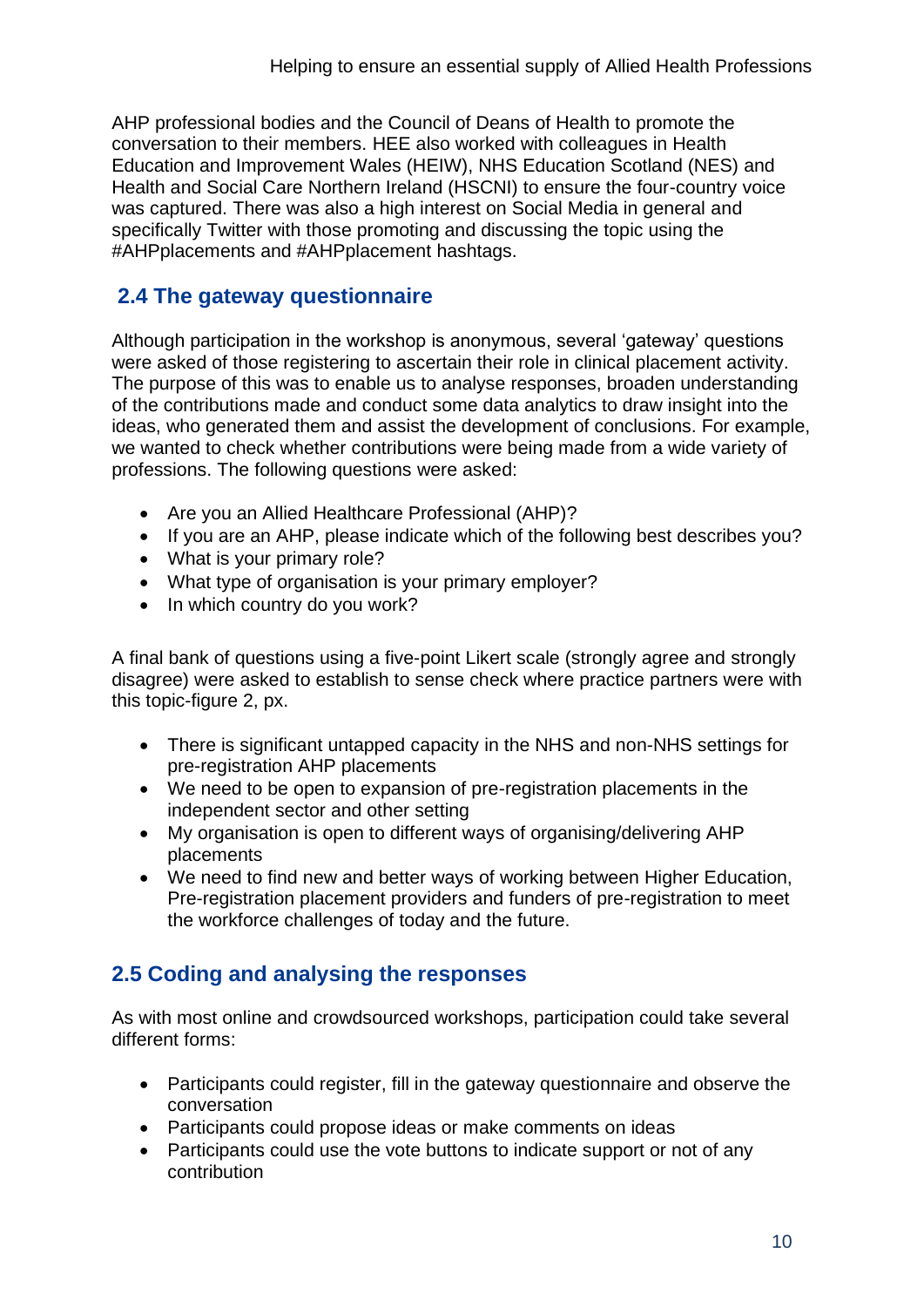AHP professional bodies and the Council of Deans of Health to promote the conversation to their members. HEE also worked with colleagues in Health Education and Improvement Wales (HEIW), NHS Education Scotland (NES) and Health and Social Care Northern Ireland (HSCNI) to ensure the four-country voice was captured. There was also a high interest on Social Media in general and specifically Twitter with those promoting and discussing the topic using the #AHPplacements and #AHPplacement hashtags.

### **2.4 The gateway questionnaire**

Although participation in the workshop is anonymous, several 'gateway' questions were asked of those registering to ascertain their role in clinical placement activity. The purpose of this was to enable us to analyse responses, broaden understanding of the contributions made and conduct some data analytics to draw insight into the ideas, who generated them and assist the development of conclusions. For example, we wanted to check whether contributions were being made from a wide variety of professions. The following questions were asked:

- Are you an Allied Healthcare Professional (AHP)?
- If you are an AHP, please indicate which of the following best describes you?
- What is your primary role?
- What type of organisation is your primary employer?
- In which country do you work?

A final bank of questions using a five-point Likert scale (strongly agree and strongly disagree) were asked to establish to sense check where practice partners were with this topic-figure 2, px.

- There is significant untapped capacity in the NHS and non-NHS settings for pre-registration AHP placements
- We need to be open to expansion of pre-registration placements in the independent sector and other setting
- My organisation is open to different ways of organising/delivering AHP placements
- We need to find new and better ways of working between Higher Education, Pre-registration placement providers and funders of pre-registration to meet the workforce challenges of today and the future.

### **2.5 Coding and analysing the responses**

As with most online and crowdsourced workshops, participation could take several different forms:

- Participants could register, fill in the gateway questionnaire and observe the conversation
- Participants could propose ideas or make comments on ideas
- Participants could use the vote buttons to indicate support or not of any contribution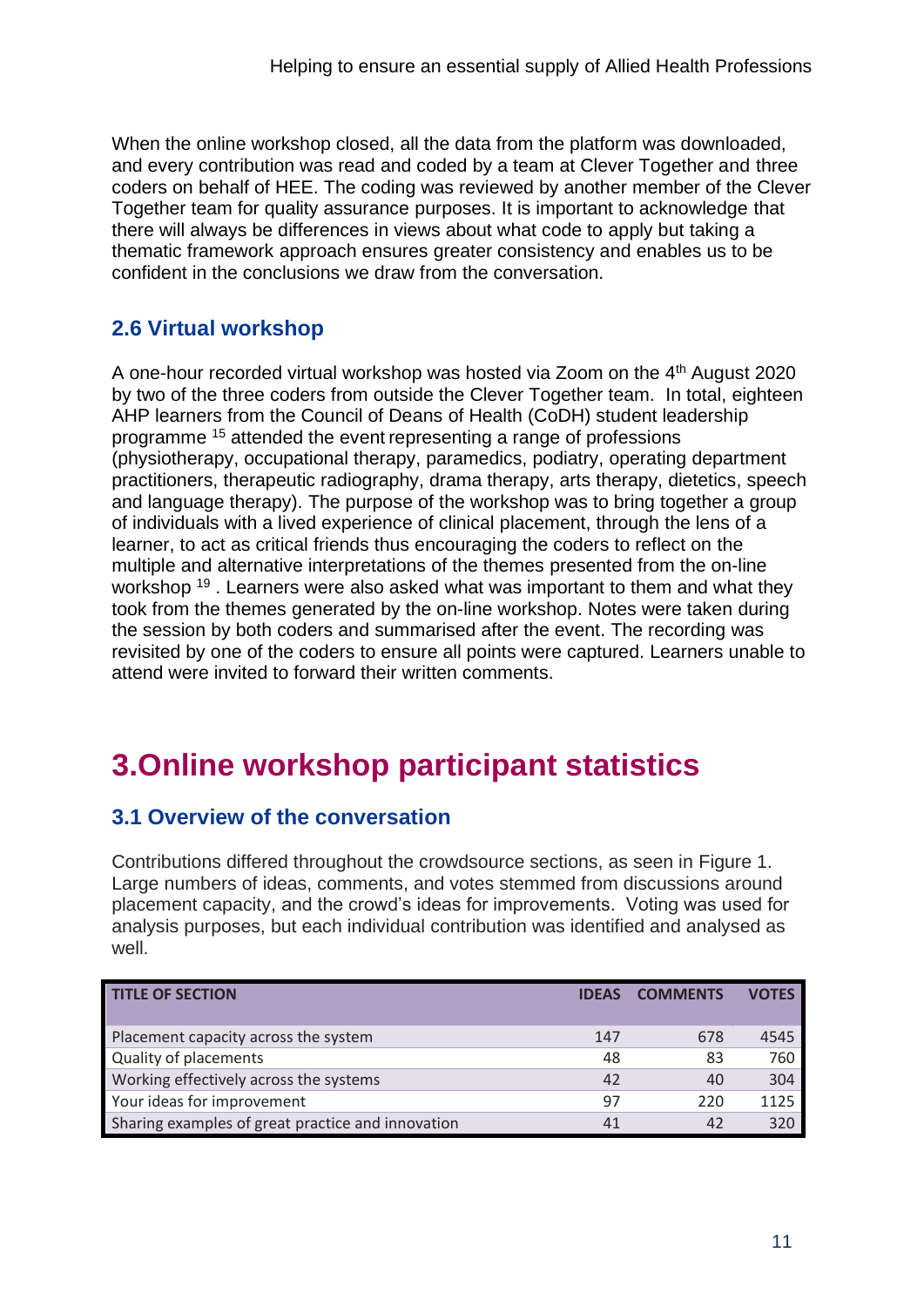When the online workshop closed, all the data from the platform was downloaded, and every contribution was read and coded by a team at Clever Together and three coders on behalf of HEE. The coding was reviewed by another member of the Clever Together team for quality assurance purposes. It is important to acknowledge that there will always be differences in views about what code to apply but taking a thematic framework approach ensures greater consistency and enables us to be confident in the conclusions we draw from the conversation.

# **2.6 Virtual workshop**

A one-hour recorded virtual workshop was hosted via Zoom on the 4<sup>th</sup> August 2020 by two of the three coders from outside the Clever Together team. In total, eighteen AHP learners from the Council of Deans of Health (CoDH) student leadership programme <sup>15</sup> attended the event representing a range of professions (physiotherapy, occupational therapy, paramedics, podiatry, operating department practitioners, therapeutic radiography, drama therapy, arts therapy, dietetics, speech and language therapy). The purpose of the workshop was to bring together a group of individuals with a lived experience of clinical placement, through the lens of a learner, to act as critical friends thus encouraging the coders to reflect on the multiple and alternative interpretations of the themes presented from the on-line workshop <sup>19</sup>. Learners were also asked what was important to them and what they took from the themes generated by the on-line workshop. Notes were taken during the session by both coders and summarised after the event. The recording was revisited by one of the coders to ensure all points were captured. Learners unable to attend were invited to forward their written comments.

# **3.Online workshop participant statistics**

# **3.1 Overview of the conversation**

Contributions differed throughout the crowdsource sections, as seen in Figure 1. Large numbers of ideas, comments, and votes stemmed from discussions around placement capacity, and the crowd's ideas for improvements. Voting was used for analysis purposes, but each individual contribution was identified and analysed as well.

| <b>TITLE OF SECTION</b>                           | <b>IDFAS</b> | <b>COMMENTS</b> | <b>VOTES</b> |
|---------------------------------------------------|--------------|-----------------|--------------|
| Placement capacity across the system              | 147          | 678             | 4545         |
| Quality of placements                             | 48           | 83              | 760          |
| Working effectively across the systems            | 42           | 40              | 304          |
| Your ideas for improvement                        | 97           | 220             | 1125         |
| Sharing examples of great practice and innovation | 41           |                 | 320          |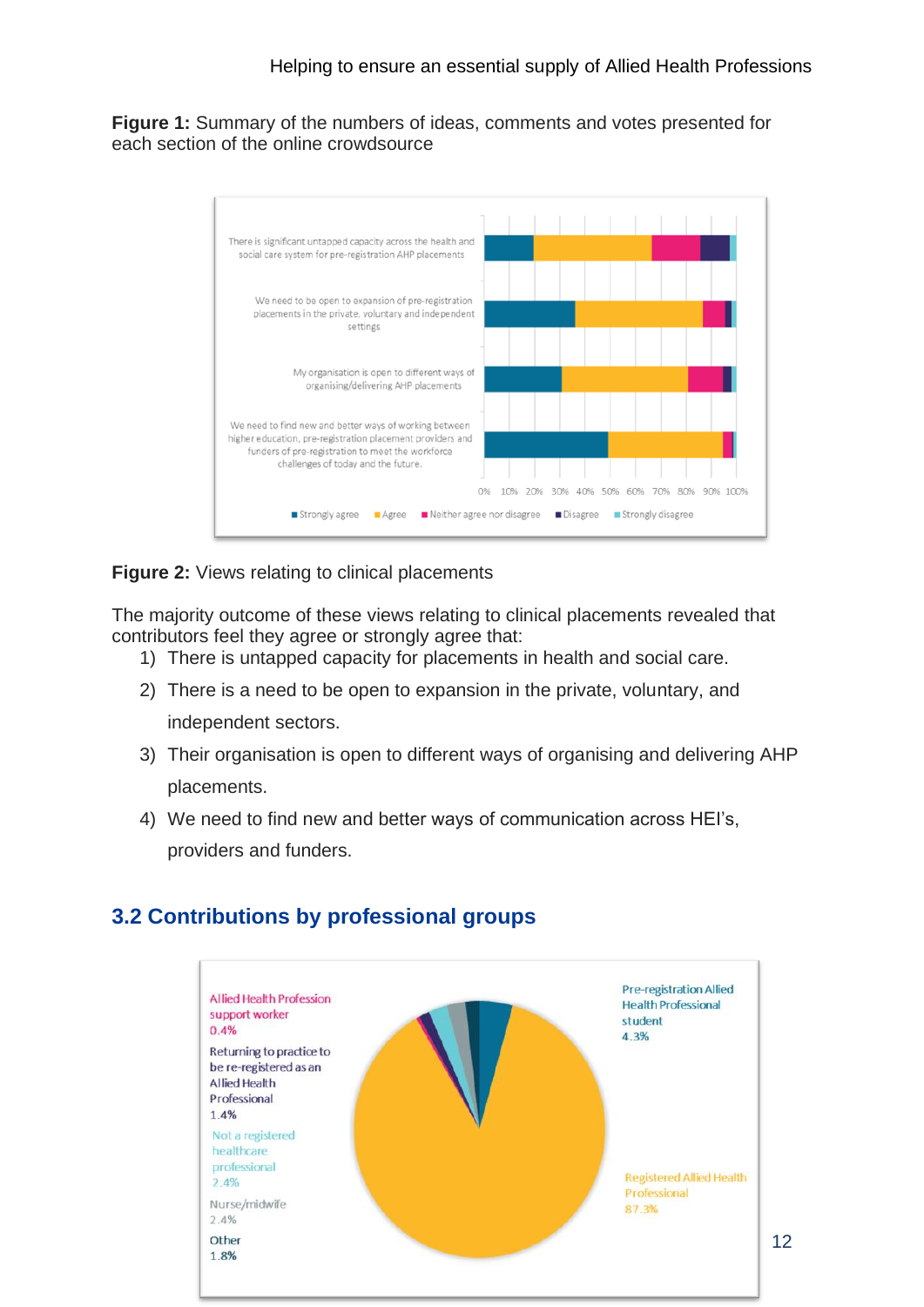**Figure 1:** Summary of the numbers of ideas, comments and votes presented for each section of the online crowdsource



**Figure 2:** Views relating to clinical placements

The majority outcome of these views relating to clinical placements revealed that contributors feel they agree or strongly agree that:

- 1) There is untapped capacity for placements in health and social care.
- 2) There is a need to be open to expansion in the private, voluntary, and independent sectors.
- 3) Their organisation is open to different ways of organising and delivering AHP placements.
- 4) We need to find new and better ways of communication across HEI's, providers and funders.



#### **3.2 Contributions by professional groups**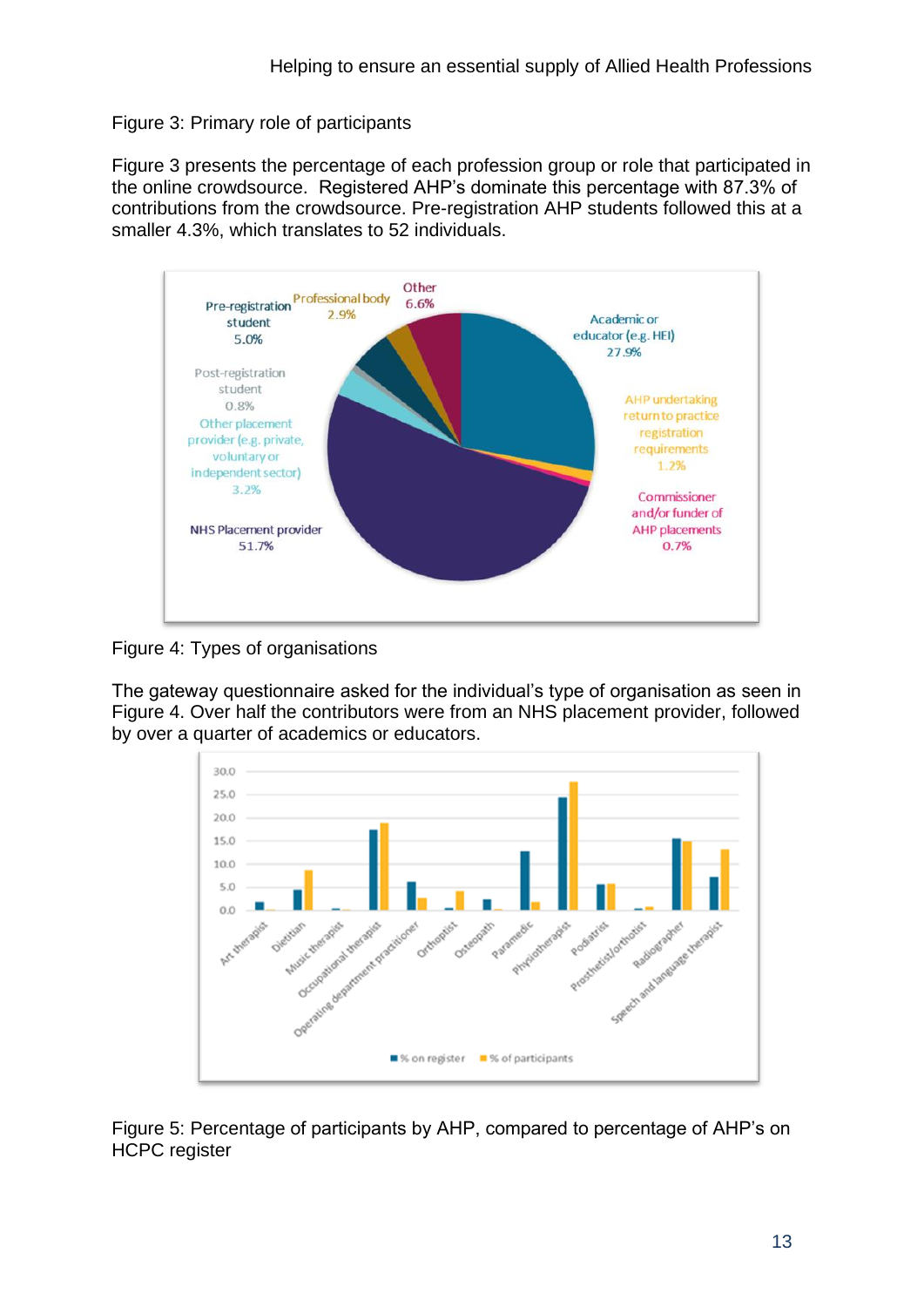#### Figure 3: Primary role of participants

Figure 3 presents the percentage of each profession group or role that participated in the online crowdsource. Registered AHP's dominate this percentage with 87.3% of contributions from the crowdsource. Pre-registration AHP students followed this at a smaller 4.3%, which translates to 52 individuals.



Figure 4: Types of organisations

The gateway questionnaire asked for the individual's type of organisation as seen in Figure 4. Over half the contributors were from an NHS placement provider, followed by over a quarter of academics or educators.



Figure 5: Percentage of participants by AHP, compared to percentage of AHP's on HCPC register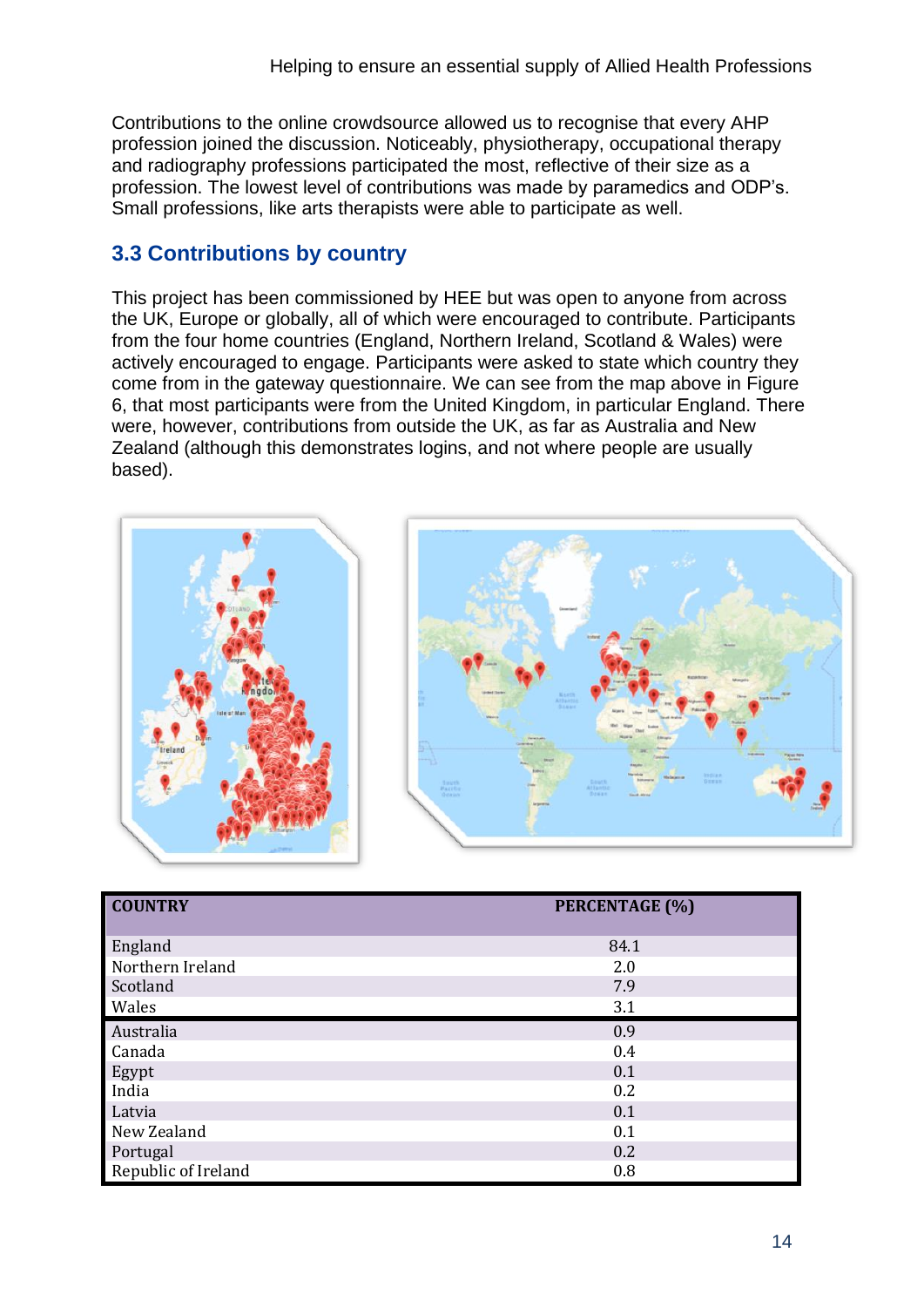Contributions to the online crowdsource allowed us to recognise that every AHP profession joined the discussion. Noticeably, physiotherapy, occupational therapy and radiography professions participated the most, reflective of their size as a profession. The lowest level of contributions was made by paramedics and ODP's. Small professions, like arts therapists were able to participate as well.

# **3.3 Contributions by country**

This project has been commissioned by HEE but was open to anyone from across the UK, Europe or globally, all of which were encouraged to contribute. Participants from the four home countries (England, Northern Ireland, Scotland & Wales) were actively encouraged to engage. Participants were asked to state which country they come from in the gateway questionnaire. We can see from the map above in Figure 6, that most participants were from the United Kingdom, in particular England. There were, however, contributions from outside the UK, as far as Australia and New Zealand (although this demonstrates logins, and not where people are usually based).





| <b>COUNTRY</b>      | PERCENTAGE (%) |
|---------------------|----------------|
| England             | 84.1           |
| Northern Ireland    | 2.0            |
| Scotland            | 7.9            |
| Wales               | 3.1            |
| Australia           | 0.9            |
| Canada              | 0.4            |
| Egypt               | 0.1            |
| India               | 0.2            |
| Latvia              | 0.1            |
| New Zealand         | 0.1            |
| Portugal            | 0.2            |
| Republic of Ireland | 0.8            |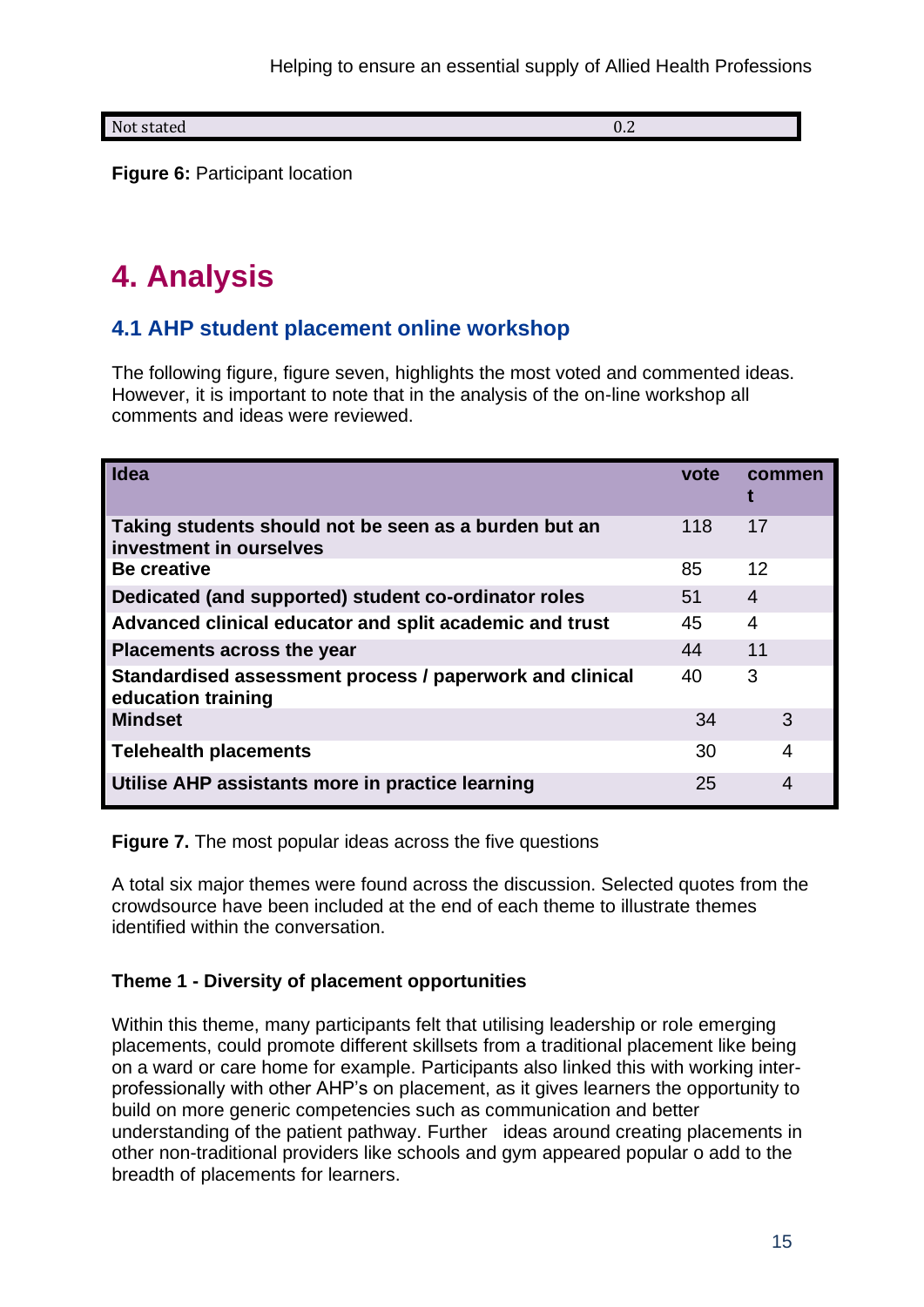Not stated 0.2

**Figure 6: Participant location** 

# **4. Analysis**

### **4.1 AHP student placement online workshop**

The following figure, figure seven, highlights the most voted and commented ideas. However, it is important to note that in the analysis of the on-line workshop all comments and ideas were reviewed.

| Idea                                                                             | vote | commen |
|----------------------------------------------------------------------------------|------|--------|
| Taking students should not be seen as a burden but an<br>investment in ourselves | 118  | 17     |
| <b>Be creative</b>                                                               | 85   | 12     |
| Dedicated (and supported) student co-ordinator roles                             | 51   | 4      |
| Advanced clinical educator and split academic and trust                          | 45   | 4      |
| <b>Placements across the year</b>                                                | 44   | 11     |
| Standardised assessment process / paperwork and clinical<br>education training   | 40   | 3      |
| <b>Mindset</b>                                                                   | 34   | 3      |
| <b>Telehealth placements</b>                                                     | 30   | 4      |
| Utilise AHP assistants more in practice learning                                 | 25   | 4      |

**Figure 7.** The most popular ideas across the five questions

A total six major themes were found across the discussion. Selected quotes from the crowdsource have been included at the end of each theme to illustrate themes identified within the conversation.

#### **Theme 1 - Diversity of placement opportunities**

Within this theme, many participants felt that utilising leadership or role emerging placements, could promote different skillsets from a traditional placement like being on a ward or care home for example. Participants also linked this with working interprofessionally with other AHP's on placement, as it gives learners the opportunity to build on more generic competencies such as communication and better understanding of the patient pathway. Further ideas around creating placements in other non-traditional providers like schools and gym appeared popular o add to the breadth of placements for learners.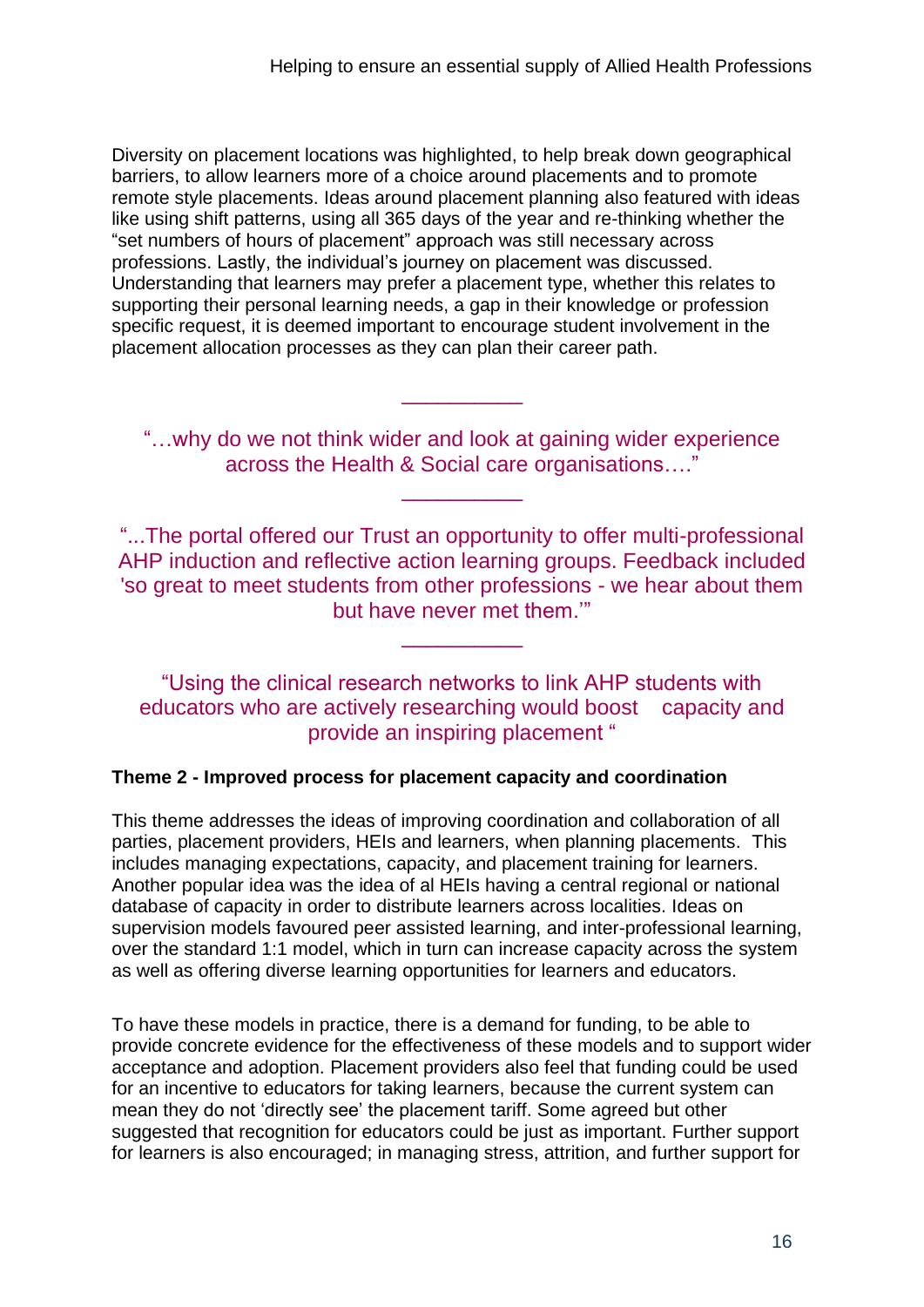Diversity on placement locations was highlighted, to help break down geographical barriers, to allow learners more of a choice around placements and to promote remote style placements. Ideas around placement planning also featured with ideas like using shift patterns, using all 365 days of the year and re-thinking whether the "set numbers of hours of placement" approach was still necessary across professions. Lastly, the individual's journey on placement was discussed. Understanding that learners may prefer a placement type, whether this relates to supporting their personal learning needs, a gap in their knowledge or profession specific request, it is deemed important to encourage student involvement in the placement allocation processes as they can plan their career path.

"…why do we not think wider and look at gaining wider experience across the Health & Social care organisations…."

\_\_\_\_\_\_\_\_\_\_

\_\_\_\_\_\_\_\_\_\_

"...The portal offered our Trust an opportunity to offer multi-professional AHP induction and reflective action learning groups. Feedback included 'so great to meet students from other professions - we hear about them but have never met them.'"

\_\_\_\_\_\_\_\_\_\_

"Using the clinical research networks to link AHP students with educators who are actively researching would boost capacity and provide an inspiring placement "

#### **Theme 2 - Improved process for placement capacity and coordination**

This theme addresses the ideas of improving coordination and collaboration of all parties, placement providers, HEIs and learners, when planning placements. This includes managing expectations, capacity, and placement training for learners. Another popular idea was the idea of al HEIs having a central regional or national database of capacity in order to distribute learners across localities. Ideas on supervision models favoured peer assisted learning, and inter-professional learning, over the standard 1:1 model, which in turn can increase capacity across the system as well as offering diverse learning opportunities for learners and educators.

To have these models in practice, there is a demand for funding, to be able to provide concrete evidence for the effectiveness of these models and to support wider acceptance and adoption. Placement providers also feel that funding could be used for an incentive to educators for taking learners, because the current system can mean they do not 'directly see' the placement tariff. Some agreed but other suggested that recognition for educators could be just as important. Further support for learners is also encouraged; in managing stress, attrition, and further support for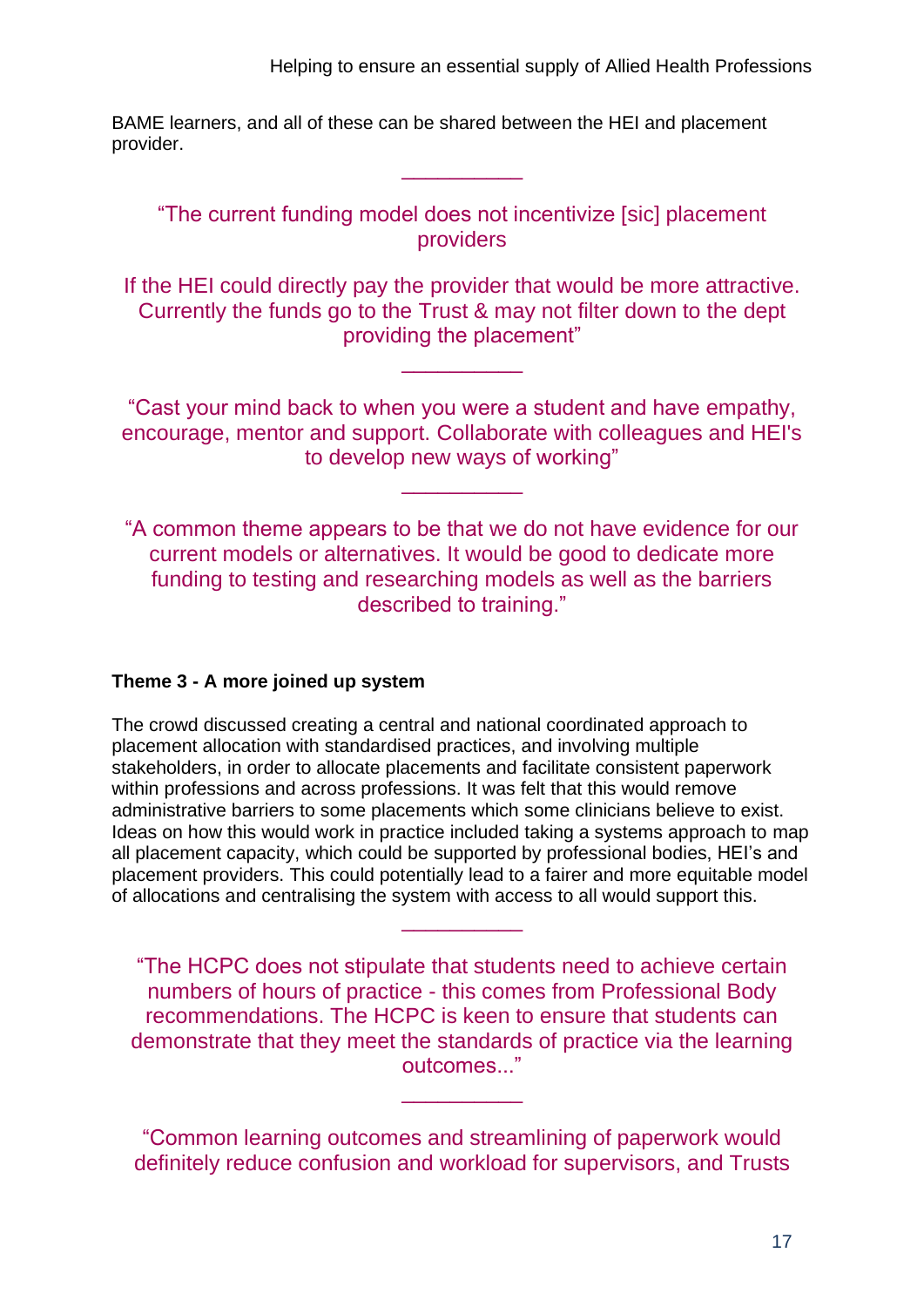Helping to ensure an essential supply of Allied Health Professions

BAME learners, and all of these can be shared between the HEI and placement provider.

"The current funding model does not incentivize [sic] placement providers

\_\_\_\_\_\_\_\_\_\_

If the HEI could directly pay the provider that would be more attractive. Currently the funds go to the Trust & may not filter down to the dept providing the placement"

\_\_\_\_\_\_\_\_\_\_

"Cast your mind back to when you were a student and have empathy, encourage, mentor and support. Collaborate with colleagues and HEI's to develop new ways of working"

\_\_\_\_\_\_\_\_\_\_

"A common theme appears to be that we do not have evidence for our current models or alternatives. It would be good to dedicate more funding to testing and researching models as well as the barriers described to training."

#### **Theme 3 - A more joined up system**

The crowd discussed creating a central and national coordinated approach to placement allocation with standardised practices, and involving multiple stakeholders, in order to allocate placements and facilitate consistent paperwork within professions and across professions. It was felt that this would remove administrative barriers to some placements which some clinicians believe to exist. Ideas on how this would work in practice included taking a systems approach to map all placement capacity, which could be supported by professional bodies, HEI's and placement providers. This could potentially lead to a fairer and more equitable model of allocations and centralising the system with access to all would support this.

"The HCPC does not stipulate that students need to achieve certain numbers of hours of practice - this comes from Professional Body recommendations. The HCPC is keen to ensure that students can demonstrate that they meet the standards of practice via the learning outcomes..."

\_\_\_\_\_\_\_\_\_\_

"Common learning outcomes and streamlining of paperwork would definitely reduce confusion and workload for supervisors, and Trusts

\_\_\_\_\_\_\_\_\_\_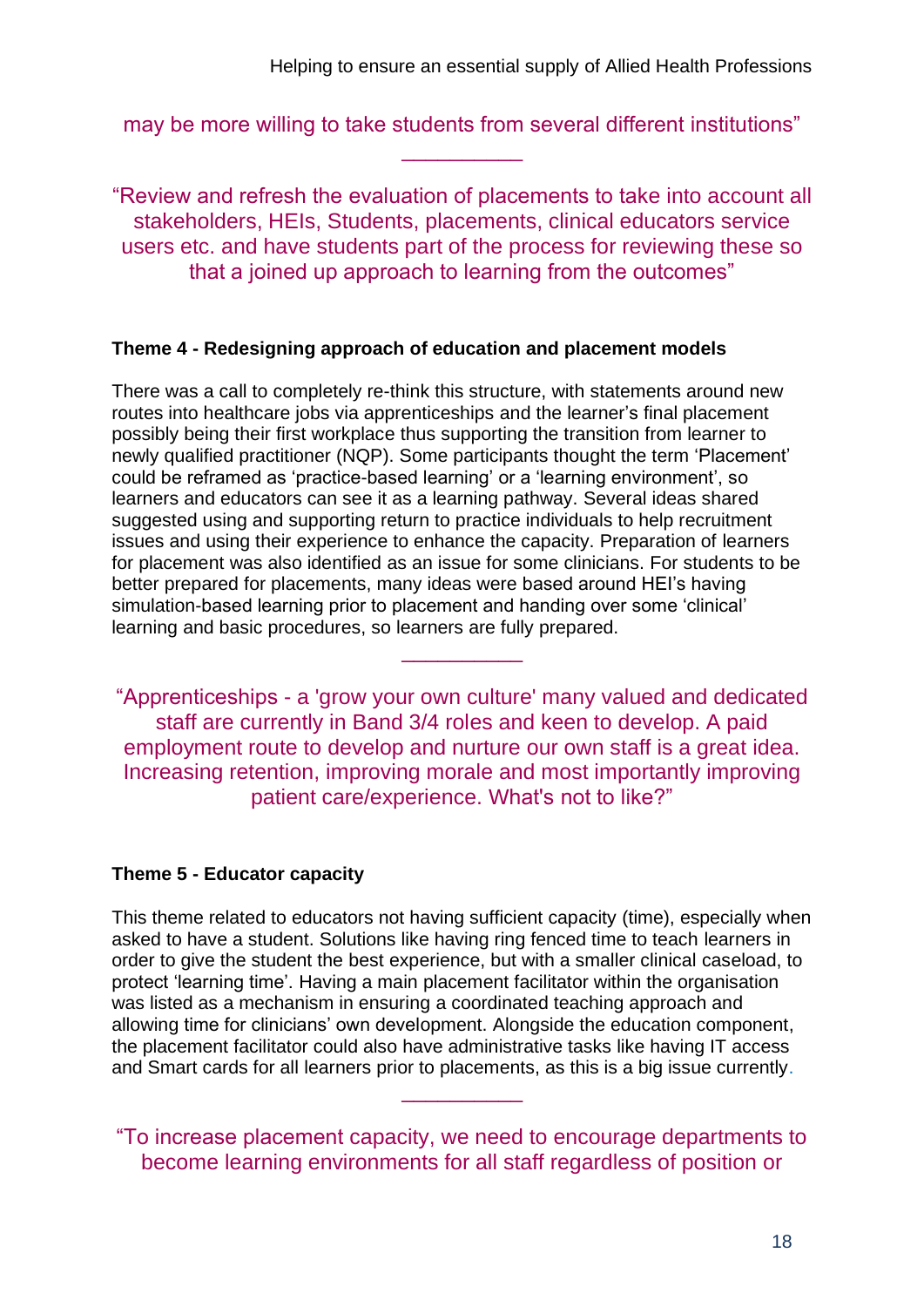may be more willing to take students from several different institutions" \_\_\_\_\_\_\_\_\_\_

"Review and refresh the evaluation of placements to take into account all stakeholders, HEIs, Students, placements, clinical educators service users etc. and have students part of the process for reviewing these so that a joined up approach to learning from the outcomes"

#### **Theme 4 - Redesigning approach of education and placement models**

There was a call to completely re-think this structure, with statements around new routes into healthcare jobs via apprenticeships and the learner's final placement possibly being their first workplace thus supporting the transition from learner to newly qualified practitioner (NQP). Some participants thought the term 'Placement' could be reframed as 'practice-based learning' or a 'learning environment', so learners and educators can see it as a learning pathway. Several ideas shared suggested using and supporting return to practice individuals to help recruitment issues and using their experience to enhance the capacity. Preparation of learners for placement was also identified as an issue for some clinicians. For students to be better prepared for placements, many ideas were based around HEI's having simulation-based learning prior to placement and handing over some 'clinical' learning and basic procedures, so learners are fully prepared.

"Apprenticeships - a 'grow your own culture' many valued and dedicated staff are currently in Band 3/4 roles and keen to develop. A paid employment route to develop and nurture our own staff is a great idea. Increasing retention, improving morale and most importantly improving patient care/experience. What's not to like?"

\_\_\_\_\_\_\_\_\_\_

#### **Theme 5 - Educator capacity**

This theme related to educators not having sufficient capacity (time), especially when asked to have a student. Solutions like having ring fenced time to teach learners in order to give the student the best experience, but with a smaller clinical caseload, to protect 'learning time'. Having a main placement facilitator within the organisation was listed as a mechanism in ensuring a coordinated teaching approach and allowing time for clinicians' own development. Alongside the education component, the placement facilitator could also have administrative tasks like having IT access and Smart cards for all learners prior to placements, as this is a big issue currently.

"To increase placement capacity, we need to encourage departments to become learning environments for all staff regardless of position or

\_\_\_\_\_\_\_\_\_\_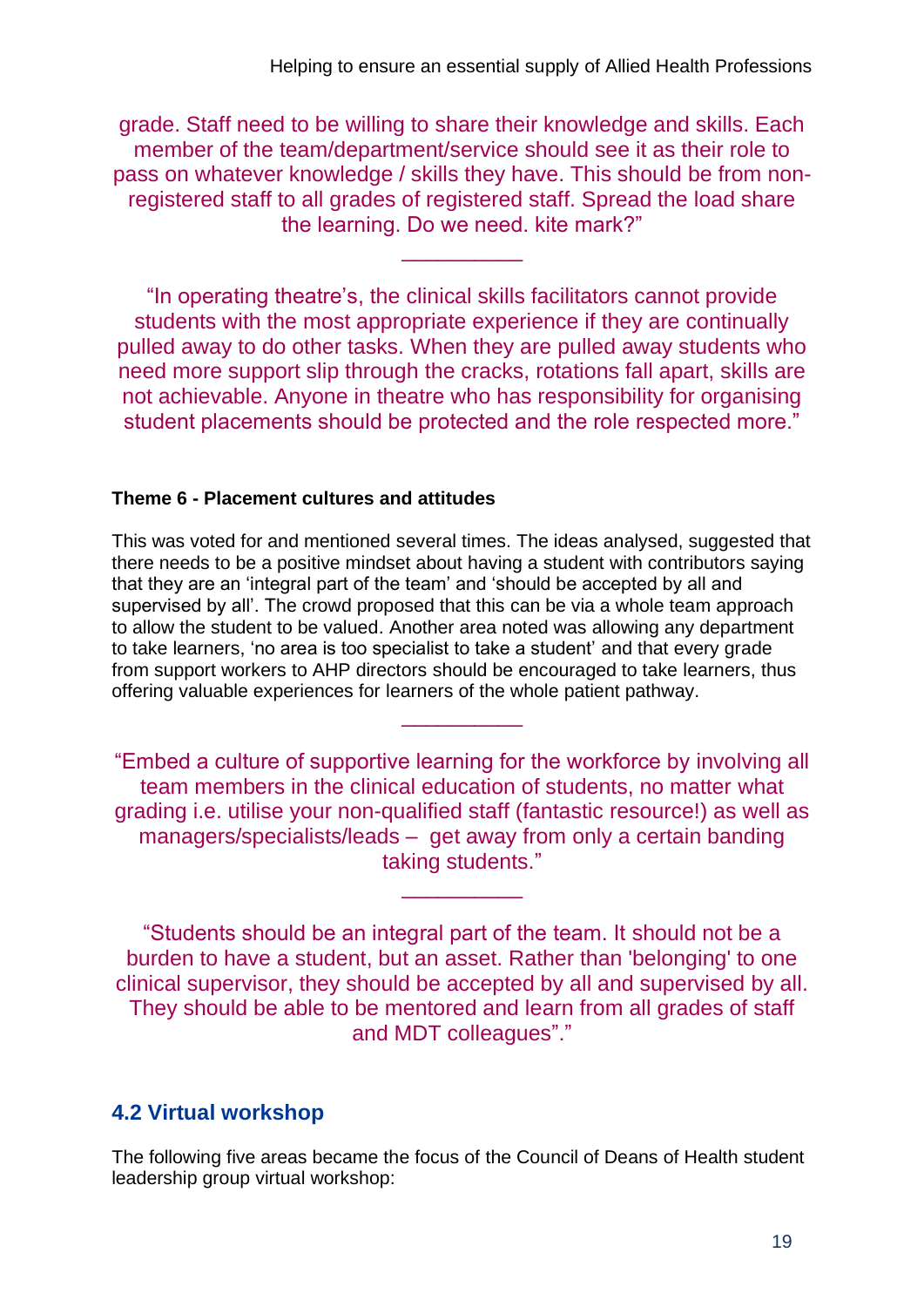grade. Staff need to be willing to share their knowledge and skills. Each member of the team/department/service should see it as their role to pass on whatever knowledge / skills they have. This should be from nonregistered staff to all grades of registered staff. Spread the load share the learning. Do we need. kite mark?"

\_\_\_\_\_\_\_\_\_\_

"In operating theatre's, the clinical skills facilitators cannot provide students with the most appropriate experience if they are continually pulled away to do other tasks. When they are pulled away students who need more support slip through the cracks, rotations fall apart, skills are not achievable. Anyone in theatre who has responsibility for organising student placements should be protected and the role respected more."

#### **Theme 6 - Placement cultures and attitudes**

This was voted for and mentioned several times. The ideas analysed, suggested that there needs to be a positive mindset about having a student with contributors saying that they are an 'integral part of the team' and 'should be accepted by all and supervised by all'. The crowd proposed that this can be via a whole team approach to allow the student to be valued. Another area noted was allowing any department to take learners, 'no area is too specialist to take a student' and that every grade from support workers to AHP directors should be encouraged to take learners, thus offering valuable experiences for learners of the whole patient pathway.

"Embed a culture of supportive learning for the workforce by involving all team members in the clinical education of students, no matter what grading i.e. utilise your non-qualified staff (fantastic resource!) as well as managers/specialists/leads – get away from only a certain banding taking students."

\_\_\_\_\_\_\_\_\_\_

\_\_\_\_\_\_\_\_\_\_

"Students should be an integral part of the team. It should not be a burden to have a student, but an asset. Rather than 'belonging' to one clinical supervisor, they should be accepted by all and supervised by all. They should be able to be mentored and learn from all grades of staff and MDT colleagues"."

### **4.2 Virtual workshop**

The following five areas became the focus of the Council of Deans of Health student leadership group virtual workshop: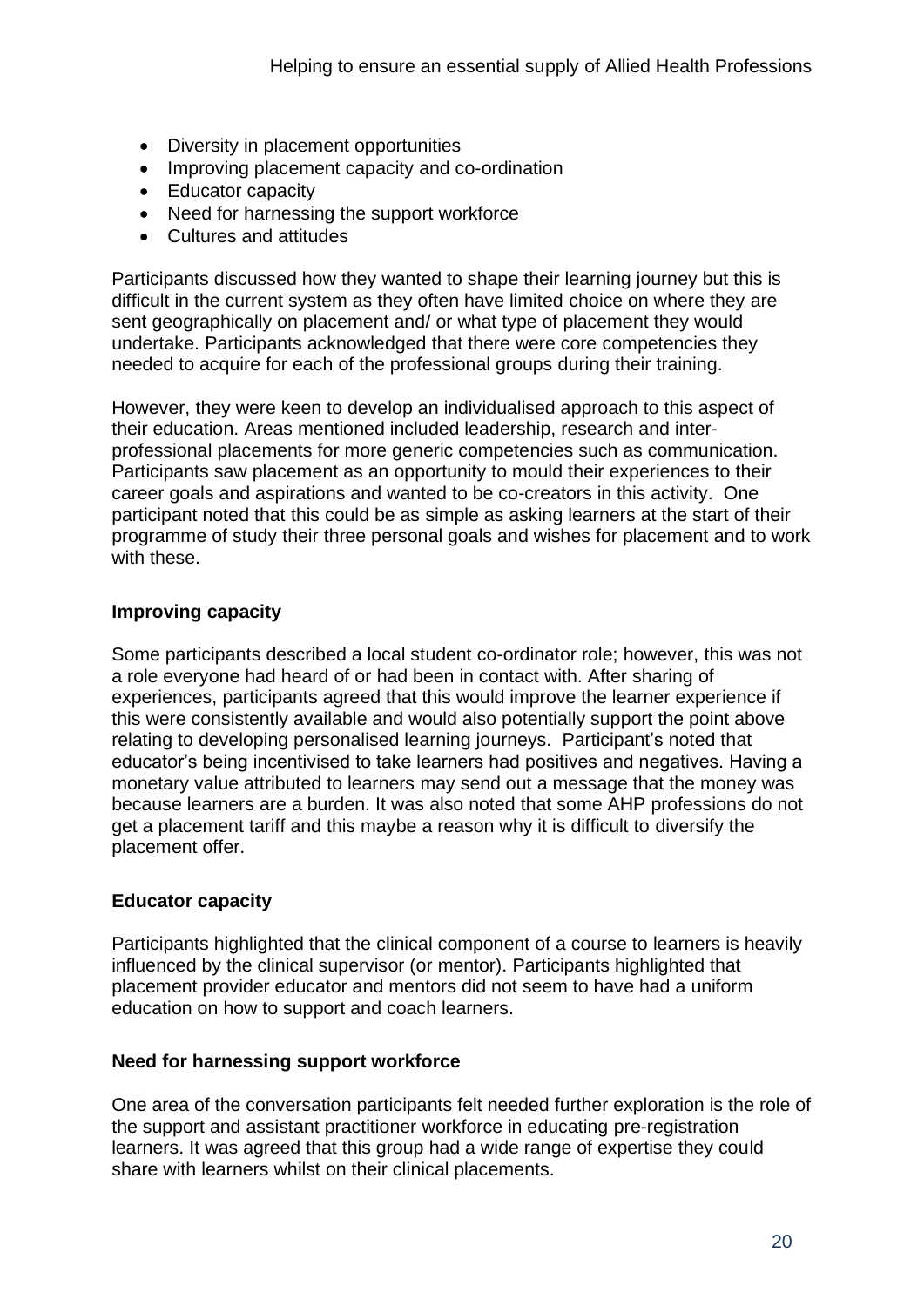- Diversity in placement opportunities
- Improving placement capacity and co-ordination
- Educator capacity
- Need for harnessing the support workforce
- Cultures and attitudes

Participants discussed how they wanted to shape their learning journey but this is difficult in the current system as they often have limited choice on where they are sent geographically on placement and/ or what type of placement they would undertake. Participants acknowledged that there were core competencies they needed to acquire for each of the professional groups during their training.

However, they were keen to develop an individualised approach to this aspect of their education. Areas mentioned included leadership, research and interprofessional placements for more generic competencies such as communication. Participants saw placement as an opportunity to mould their experiences to their career goals and aspirations and wanted to be co-creators in this activity. One participant noted that this could be as simple as asking learners at the start of their programme of study their three personal goals and wishes for placement and to work with these.

#### **Improving capacity**

Some participants described a local student co-ordinator role; however, this was not a role everyone had heard of or had been in contact with. After sharing of experiences, participants agreed that this would improve the learner experience if this were consistently available and would also potentially support the point above relating to developing personalised learning journeys. Participant's noted that educator's being incentivised to take learners had positives and negatives. Having a monetary value attributed to learners may send out a message that the money was because learners are a burden. It was also noted that some AHP professions do not get a placement tariff and this maybe a reason why it is difficult to diversify the placement offer.

#### **Educator capacity**

Participants highlighted that the clinical component of a course to learners is heavily influenced by the clinical supervisor (or mentor). Participants highlighted that placement provider educator and mentors did not seem to have had a uniform education on how to support and coach learners.

#### **Need for harnessing support workforce**

One area of the conversation participants felt needed further exploration is the role of the support and assistant practitioner workforce in educating pre-registration learners. It was agreed that this group had a wide range of expertise they could share with learners whilst on their clinical placements.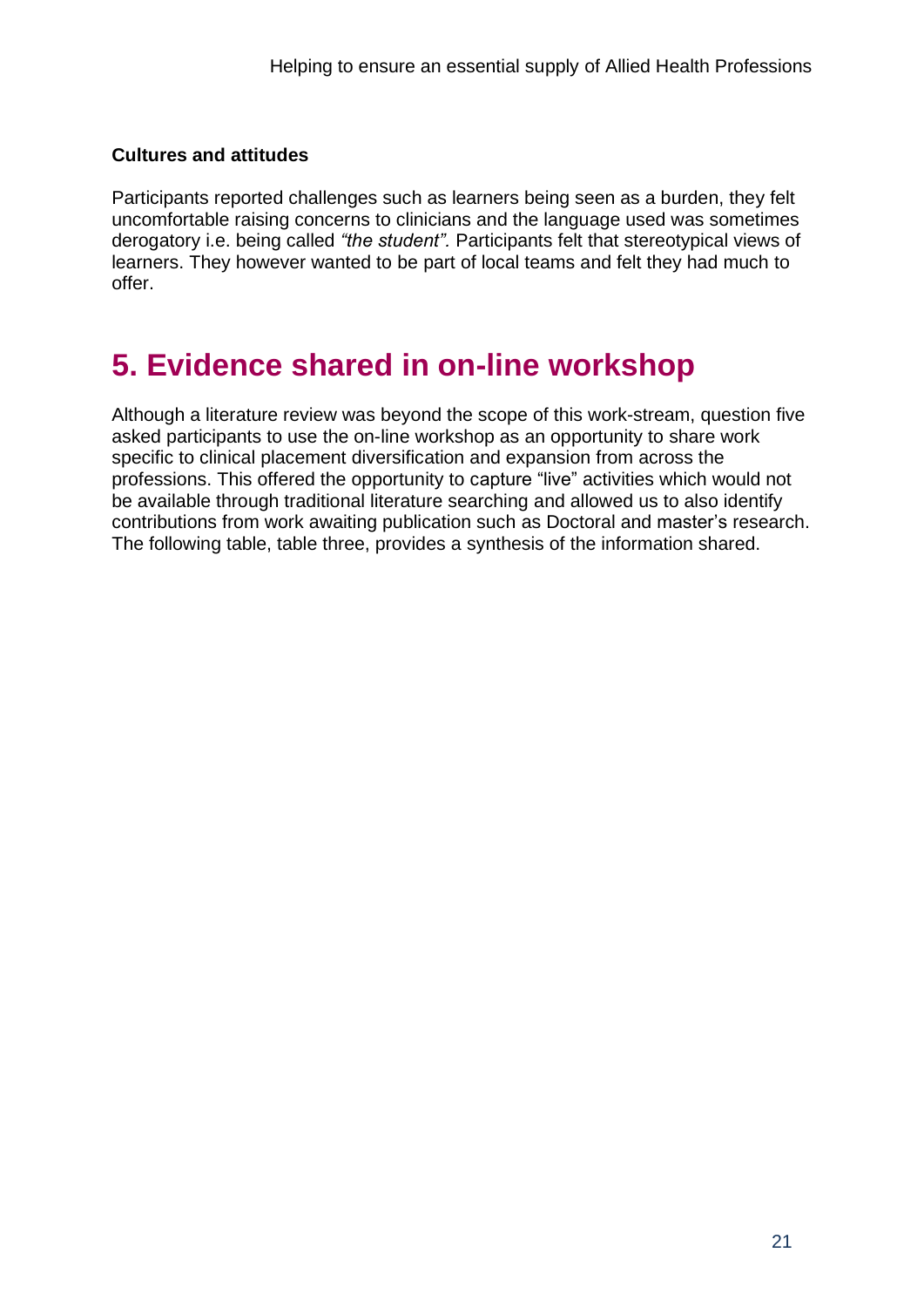#### **Cultures and attitudes**

Participants reported challenges such as learners being seen as a burden, they felt uncomfortable raising concerns to clinicians and the language used was sometimes derogatory i.e. being called *"the student".* Participants felt that stereotypical views of learners. They however wanted to be part of local teams and felt they had much to offer.

# **5. Evidence shared in on-line workshop**

Although a literature review was beyond the scope of this work-stream, question five asked participants to use the on-line workshop as an opportunity to share work specific to clinical placement diversification and expansion from across the professions. This offered the opportunity to capture "live" activities which would not be available through traditional literature searching and allowed us to also identify contributions from work awaiting publication such as Doctoral and master's research. The following table, table three, provides a synthesis of the information shared.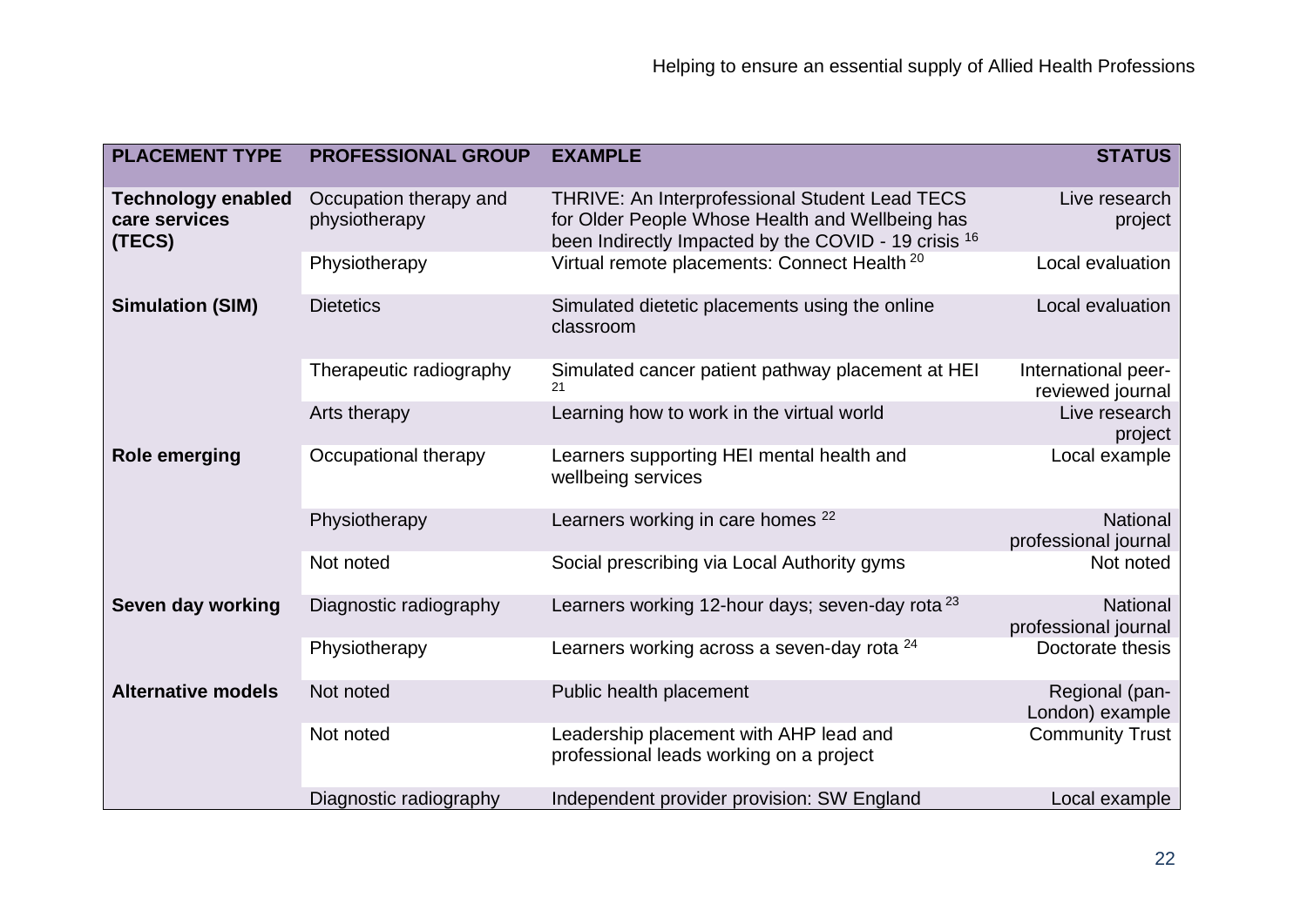| <b>PLACEMENT TYPE</b>                                | <b>PROFESSIONAL GROUP</b>               | <b>EXAMPLE</b>                                                                                                                                            | <b>STATUS</b>                           |
|------------------------------------------------------|-----------------------------------------|-----------------------------------------------------------------------------------------------------------------------------------------------------------|-----------------------------------------|
| <b>Technology enabled</b><br>care services<br>(TECS) | Occupation therapy and<br>physiotherapy | THRIVE: An Interprofessional Student Lead TECS<br>for Older People Whose Health and Wellbeing has<br>been Indirectly Impacted by the COVID - 19 crisis 16 | Live research<br>project                |
|                                                      | Physiotherapy                           | Virtual remote placements: Connect Health <sup>20</sup>                                                                                                   | Local evaluation                        |
| <b>Simulation (SIM)</b>                              | <b>Dietetics</b>                        | Simulated dietetic placements using the online<br>classroom                                                                                               | Local evaluation                        |
|                                                      | Therapeutic radiography                 | Simulated cancer patient pathway placement at HEI<br>21                                                                                                   | International peer-<br>reviewed journal |
|                                                      | Arts therapy                            | Learning how to work in the virtual world                                                                                                                 | Live research<br>project                |
| <b>Role emerging</b>                                 | Occupational therapy                    | Learners supporting HEI mental health and<br>wellbeing services                                                                                           | Local example                           |
|                                                      | Physiotherapy                           | Learners working in care homes <sup>22</sup>                                                                                                              | National<br>professional journal        |
|                                                      | Not noted                               | Social prescribing via Local Authority gyms                                                                                                               | Not noted                               |
| Seven day working                                    | Diagnostic radiography                  | Learners working 12-hour days; seven-day rota <sup>23</sup>                                                                                               | National<br>professional journal        |
|                                                      | Physiotherapy                           | Learners working across a seven-day rota <sup>24</sup>                                                                                                    | Doctorate thesis                        |
| <b>Alternative models</b>                            | Not noted                               | Public health placement                                                                                                                                   | Regional (pan-<br>London) example       |
|                                                      | Not noted                               | Leadership placement with AHP lead and<br>professional leads working on a project                                                                         | <b>Community Trust</b>                  |
|                                                      | Diagnostic radiography                  | Independent provider provision: SW England                                                                                                                | Local example                           |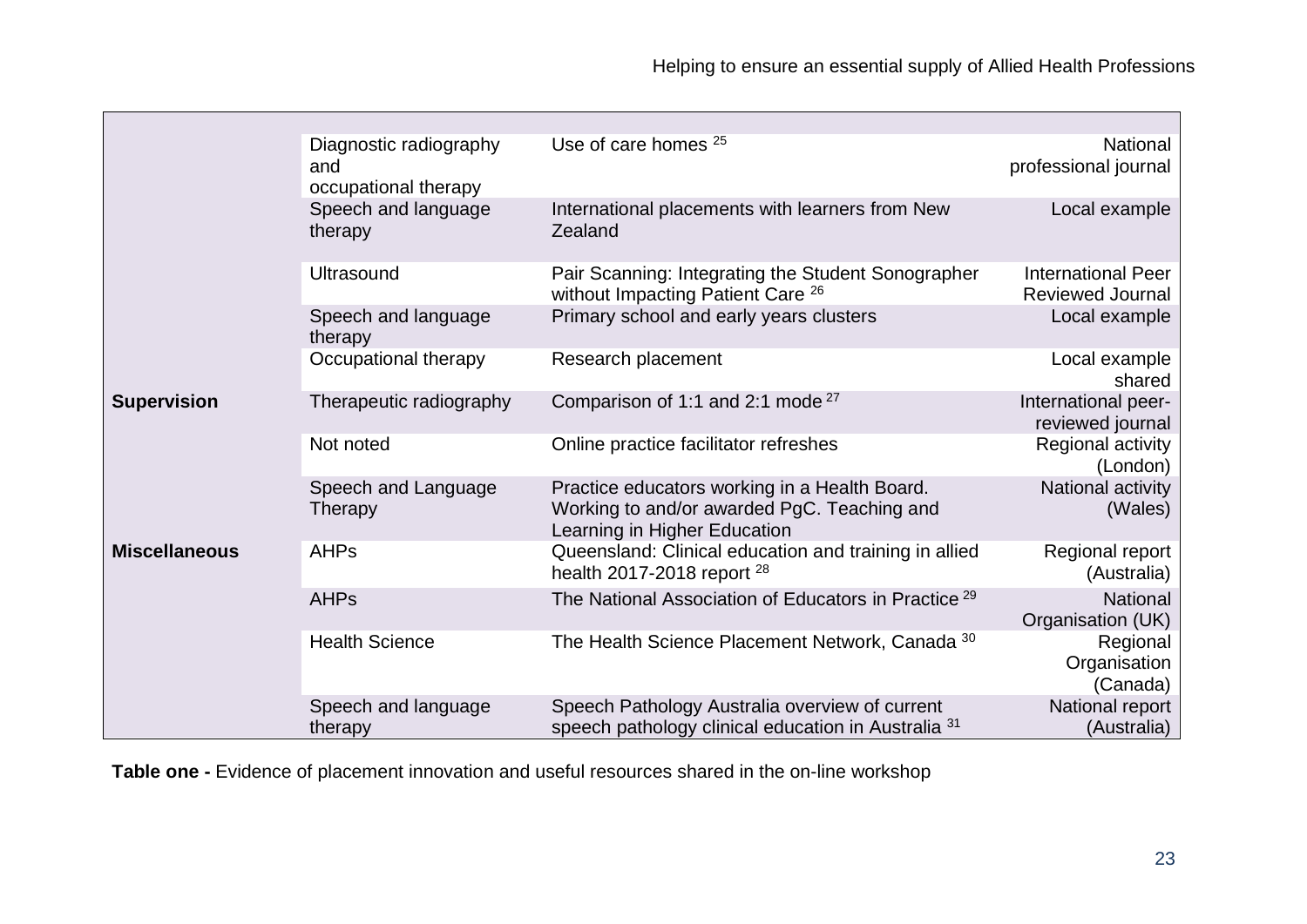|                      | Diagnostic radiography<br>and<br>occupational therapy | Use of care homes <sup>25</sup>                                                                                              | National<br>professional journal                     |
|----------------------|-------------------------------------------------------|------------------------------------------------------------------------------------------------------------------------------|------------------------------------------------------|
|                      | Speech and language<br>therapy                        | International placements with learners from New<br>Zealand                                                                   | Local example                                        |
|                      | Ultrasound                                            | Pair Scanning: Integrating the Student Sonographer<br>without Impacting Patient Care <sup>26</sup>                           | <b>International Peer</b><br><b>Reviewed Journal</b> |
|                      | Speech and language<br>therapy                        | Primary school and early years clusters                                                                                      | Local example                                        |
|                      | Occupational therapy                                  | Research placement                                                                                                           | Local example<br>shared                              |
| <b>Supervision</b>   | Therapeutic radiography                               | Comparison of 1:1 and 2:1 mode <sup>27</sup>                                                                                 | International peer-<br>reviewed journal              |
|                      | Not noted                                             | Online practice facilitator refreshes                                                                                        | Regional activity<br>(London)                        |
|                      | Speech and Language<br>Therapy                        | Practice educators working in a Health Board.<br>Working to and/or awarded PgC. Teaching and<br>Learning in Higher Education | National activity<br>(Wales)                         |
| <b>Miscellaneous</b> | <b>AHPs</b>                                           | Queensland: Clinical education and training in allied<br>health 2017-2018 report $^{28}$                                     | Regional report<br>(Australia)                       |
|                      | <b>AHPs</b>                                           | The National Association of Educators in Practice <sup>29</sup>                                                              | National<br>Organisation (UK)                        |
|                      | <b>Health Science</b>                                 | The Health Science Placement Network, Canada 30                                                                              | Regional<br>Organisation<br>(Canada)                 |
|                      | Speech and language<br>therapy                        | Speech Pathology Australia overview of current<br>speech pathology clinical education in Australia <sup>31</sup>             | National report<br>(Australia)                       |

**Table one -** Evidence of placement innovation and useful resources shared in the on-line workshop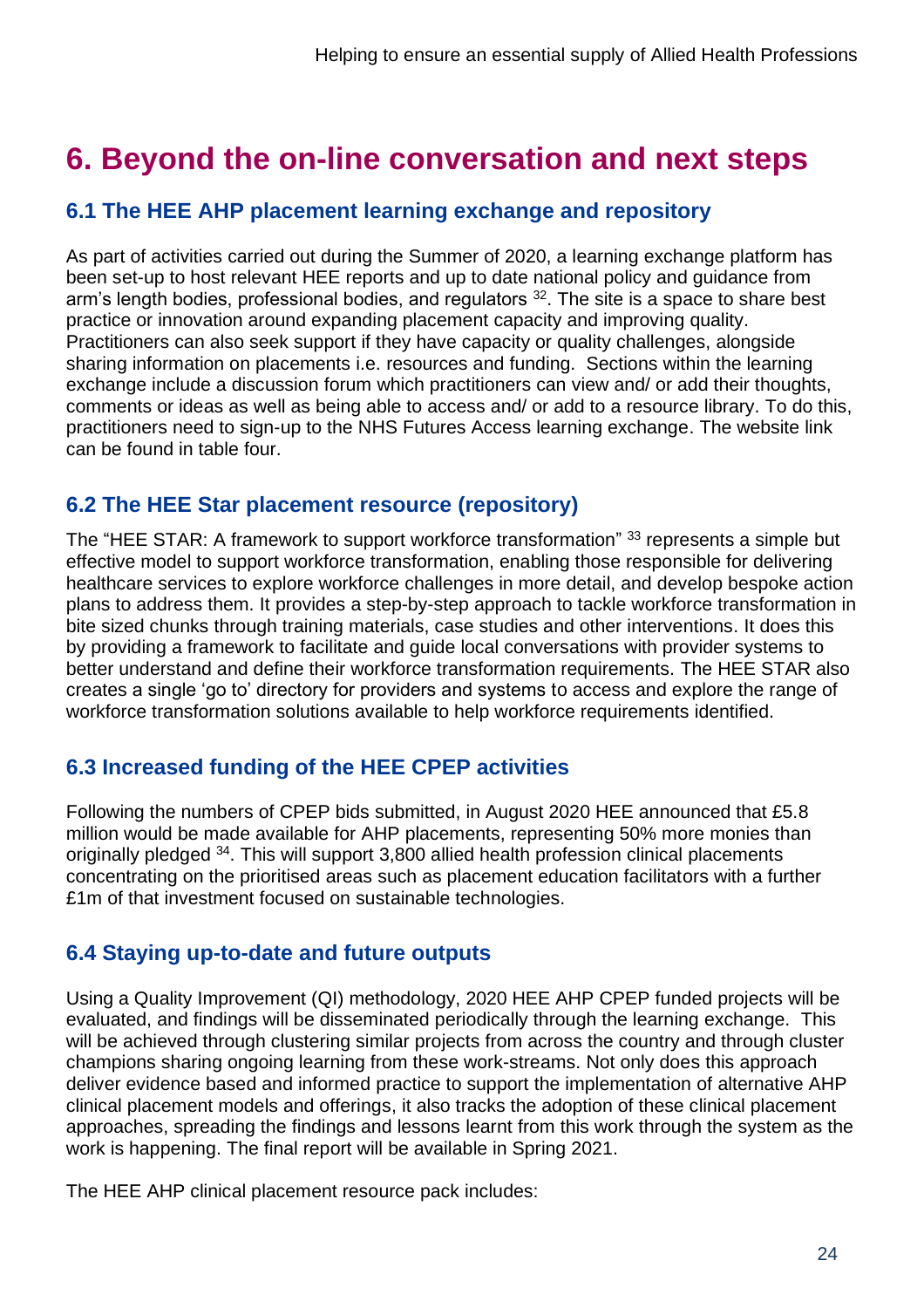# **6. Beyond the on-line conversation and next steps**

# **6.1 The HEE AHP placement learning exchange and repository**

As part of activities carried out during the Summer of 2020, a learning exchange platform has been set-up to host relevant HEE reports and up to date national policy and guidance from arm's length bodies, professional bodies, and regulators <sup>32</sup>. The site is a space to share best practice or innovation around expanding placement capacity and improving quality. Practitioners can also seek support if they have capacity or quality challenges, alongside sharing information on placements i.e. resources and funding. Sections within the learning exchange include a discussion forum which practitioners can view and/ or add their thoughts, comments or ideas as well as being able to access and/ or add to a resource library. To do this, practitioners need to sign-up to the NHS Futures Access learning exchange. The website link can be found in table four.

# **6.2 The HEE Star placement resource (repository)**

The "HEE STAR: A framework to support workforce transformation" 33 represents a simple but effective model to support workforce transformation, enabling those responsible for delivering healthcare services to explore workforce challenges in more detail, and develop bespoke action plans to address them. It provides a step-by-step approach to tackle workforce transformation in bite sized chunks through training materials, case studies and other interventions. It does this by providing a framework to facilitate and guide local conversations with provider systems to better understand and define their workforce transformation requirements. The HEE STAR also creates a single 'go to' directory for providers and systems to access and explore the range of workforce transformation solutions available to help workforce requirements identified.

### **6.3 Increased funding of the HEE CPEP activities**

Following the numbers of CPEP bids submitted, in August 2020 HEE announced that £5.8 million would be made available for AHP placements, representing 50% more monies than originally pledged <sup>34</sup>. This will support 3,800 allied health profession clinical placements concentrating on the prioritised areas such as placement education facilitators with a further £1m of that investment focused on sustainable technologies.

### **6.4 Staying up-to-date and future outputs**

Using a Quality Improvement (QI) methodology, 2020 HEE AHP CPEP funded projects will be evaluated, and findings will be disseminated periodically through the learning exchange. This will be achieved through clustering similar projects from across the country and through cluster champions sharing ongoing learning from these work-streams. Not only does this approach deliver evidence based and informed practice to support the implementation of alternative AHP clinical placement models and offerings, it also tracks the adoption of these clinical placement approaches, spreading the findings and lessons learnt from this work through the system as the work is happening. The final report will be available in Spring 2021.

The HEE AHP clinical placement resource pack includes: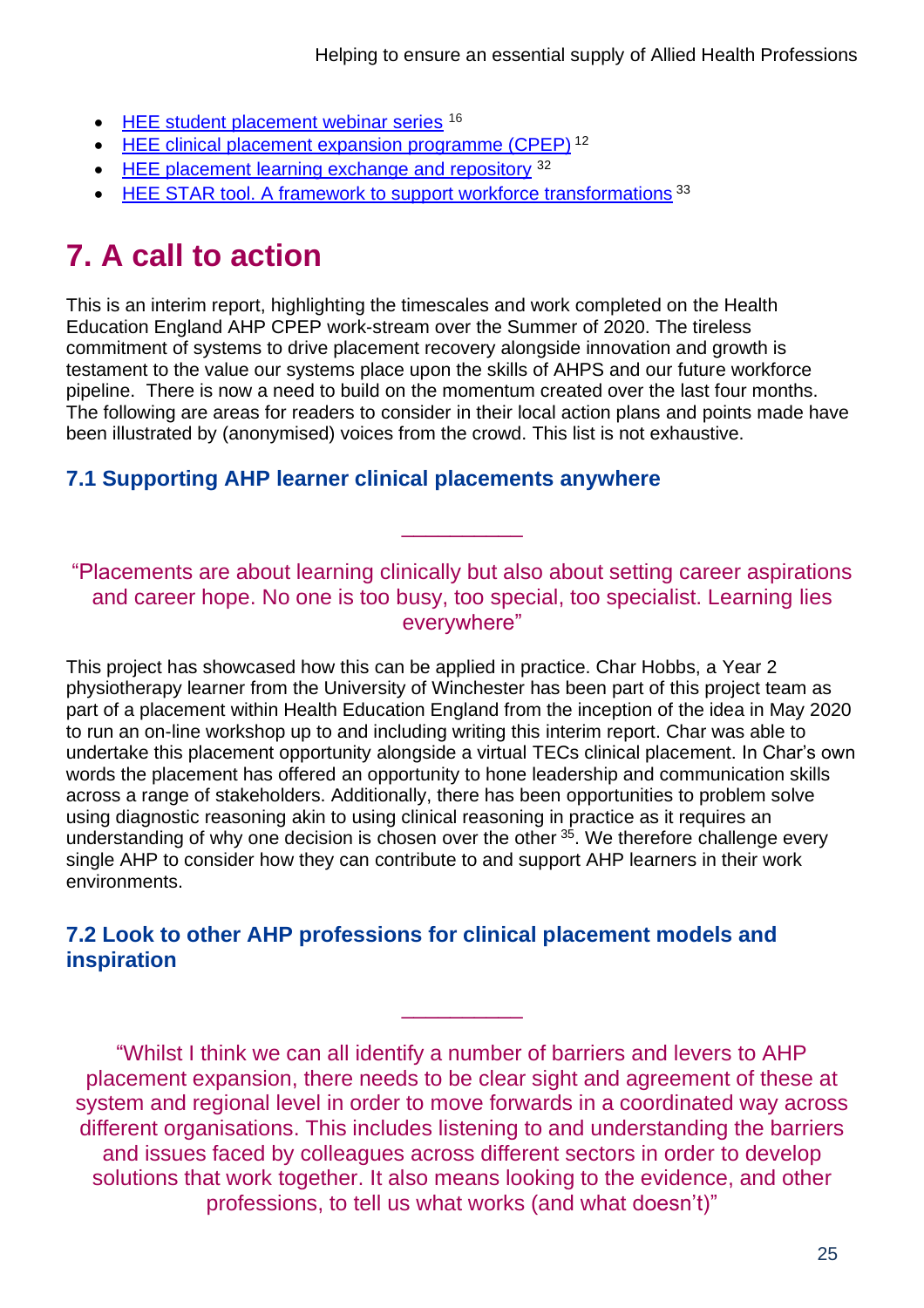- [HEE student placement webinar series](https://www.hee.nhs.uk/our-work/allied-health-professions/helping-ensure-essential-supply-ahps/placement-expansion-innovation/resources) <sup>16</sup>
- [HEE clinical placement expansion](https://www.hee.nhs.uk/our-work/allied-health-professions/helping-ensure-essential-supply-ahps/placement-expansion-innovation/resources) programme (CPEP)<sup>12</sup>
- [HEE placement learning exchange and repository](https://future.nhs.uk/system/login?nextURL=%2Fconnect%2Eti%2FSeniorAHP%2Fview%3FobjectId%3D21817392) <sup>32</sup>
- [HEE STAR tool. A framework to support workforce transformations](https://www.hee.nhs.uk/our-work/hee-star)<sup>33</sup>

# **7. A call to action**

This is an interim report, highlighting the timescales and work completed on the Health Education England AHP CPEP work-stream over the Summer of 2020. The tireless commitment of systems to drive placement recovery alongside innovation and growth is testament to the value our systems place upon the skills of AHPS and our future workforce pipeline. There is now a need to build on the momentum created over the last four months. The following are areas for readers to consider in their local action plans and points made have been illustrated by (anonymised) voices from the crowd. This list is not exhaustive.

# **7.1 Supporting AHP learner clinical placements anywhere**

"Placements are about learning clinically but also about setting career aspirations and career hope. No one is too busy, too special, too specialist. Learning lies everywhere"

\_\_\_\_\_\_\_\_\_\_

This project has showcased how this can be applied in practice. Char Hobbs, a Year 2 physiotherapy learner from the University of Winchester has been part of this project team as part of a placement within Health Education England from the inception of the idea in May 2020 to run an on-line workshop up to and including writing this interim report. Char was able to undertake this placement opportunity alongside a virtual TECs clinical placement. In Char's own words the placement has offered an opportunity to hone leadership and communication skills across a range of stakeholders. Additionally, there has been opportunities to problem solve using diagnostic reasoning akin to using clinical reasoning in practice as it requires an understanding of why one decision is chosen over the other  $35$ . We therefore challenge every single AHP to consider how they can contribute to and support AHP learners in their work environments.

### **7.2 Look to other AHP professions for clinical placement models and inspiration**

"Whilst I think we can all identify a number of barriers and levers to AHP placement expansion, there needs to be clear sight and agreement of these at system and regional level in order to move forwards in a coordinated way across different organisations. This includes listening to and understanding the barriers and issues faced by colleagues across different sectors in order to develop solutions that work together. It also means looking to the evidence, and other professions, to tell us what works (and what doesn't)"

\_\_\_\_\_\_\_\_\_\_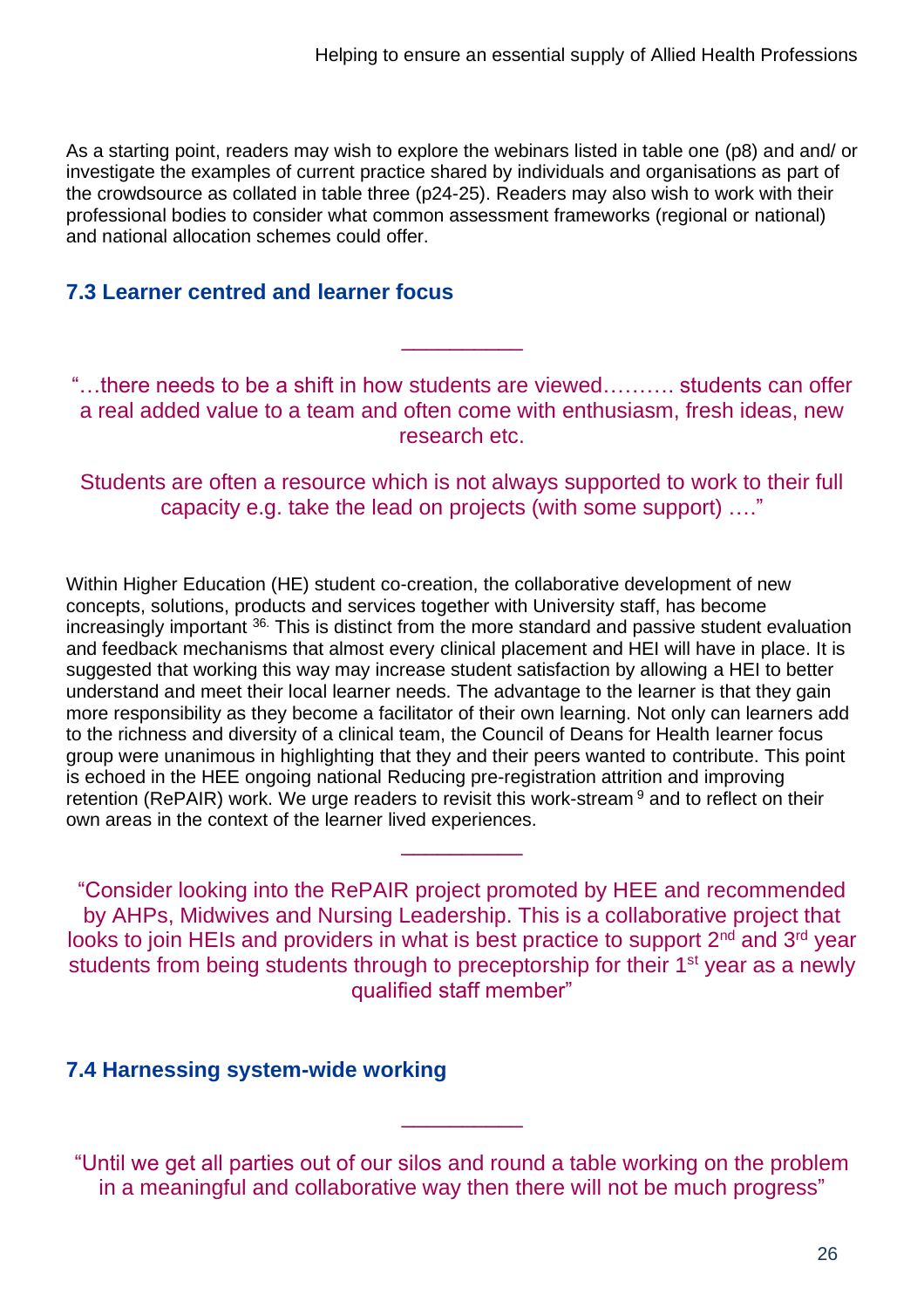As a starting point, readers may wish to explore the webinars listed in table one (p8) and and/ or investigate the examples of current practice shared by individuals and organisations as part of the crowdsource as collated in table three (p24-25). Readers may also wish to work with their professional bodies to consider what common assessment frameworks (regional or national) and national allocation schemes could offer.

#### **7.3 Learner centred and learner focus**

"…there needs to be a shift in how students are viewed………. students can offer a real added value to a team and often come with enthusiasm, fresh ideas, new research etc.

\_\_\_\_\_\_\_\_\_\_

Students are often a resource which is not always supported to work to their full capacity e.g. take the lead on projects (with some support) …."

Within Higher Education (HE) student co-creation, the collaborative development of new concepts, solutions, products and services together with University staff, has become increasingly important 36. This is distinct from the more standard and passive student evaluation and feedback mechanisms that almost every clinical placement and HEI will have in place. It is suggested that working this way may increase student satisfaction by allowing a HEI to better understand and meet their local learner needs. The advantage to the learner is that they gain more responsibility as they become a facilitator of their own learning. Not only can learners add to the richness and diversity of a clinical team, the Council of Deans for Health learner focus group were unanimous in highlighting that they and their peers wanted to contribute. This point is echoed in the HEE ongoing national Reducing pre-registration attrition and improving retention (RePAIR) work. We urge readers to revisit this work-stream <sup>9</sup> and to reflect on their own areas in the context of the learner lived experiences.

"Consider looking into the RePAIR project promoted by HEE and recommended by AHPs, Midwives and Nursing Leadership. This is a collaborative project that looks to join HEIs and providers in what is best practice to support 2<sup>nd</sup> and 3<sup>rd</sup> year students from being students through to preceptorship for their 1<sup>st</sup> year as a newly qualified staff member"

\_\_\_\_\_\_\_\_\_\_

#### **7.4 Harnessing system-wide working**

"Until we get all parties out of our silos and round a table working on the problem in a meaningful and collaborative way then there will not be much progress"

\_\_\_\_\_\_\_\_\_\_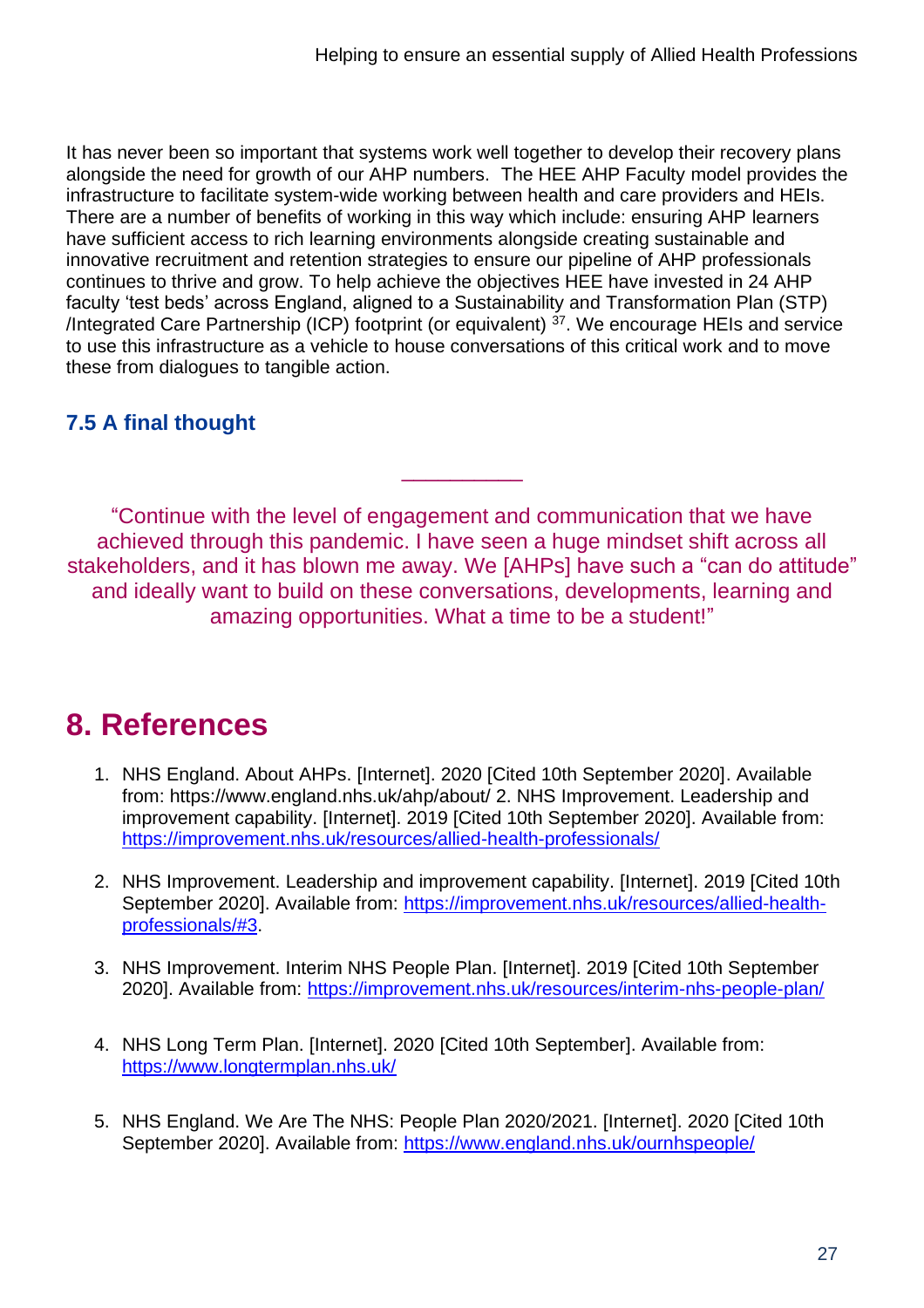It has never been so important that systems work well together to develop their recovery plans alongside the need for growth of our AHP numbers. The HEE AHP Faculty model provides the infrastructure to facilitate system-wide working between health and care providers and HEIs. There are a number of benefits of working in this way which include: ensuring AHP learners have sufficient access to rich learning environments alongside creating sustainable and innovative recruitment and retention strategies to ensure our pipeline of AHP professionals continues to thrive and grow. To help achieve the objectives HEE have invested in 24 AHP faculty 'test beds' across England, aligned to a Sustainability and Transformation Plan (STP) /Integrated Care Partnership (ICP) footprint (or equivalent) <sup>37</sup>. We encourage HEIs and service to use this infrastructure as a vehicle to house conversations of this critical work and to move these from dialogues to tangible action.

# **7.5 A final thought**

"Continue with the level of engagement and communication that we have achieved through this pandemic. I have seen a huge mindset shift across all stakeholders, and it has blown me away. We [AHPs] have such a "can do attitude" and ideally want to build on these conversations, developments, learning and amazing opportunities. What a time to be a student!"

\_\_\_\_\_\_\_\_\_\_

# **8. References**

- 1. NHS England. About AHPs. [Internet]. 2020 [Cited 10th September 2020]. Available from: https://www.england.nhs.uk/ahp/about/ 2. NHS Improvement. Leadership and improvement capability. [Internet]. 2019 [Cited 10th September 2020]. Available from: <https://improvement.nhs.uk/resources/allied-health-professionals/>
- 2. NHS Improvement. Leadership and improvement capability. [Internet]. 2019 [Cited 10th September 2020]. Available from: [https://improvement.nhs.uk/resources/allied-health](https://improvement.nhs.uk/resources/allied-health-professionals/#3)[professionals/#3.](https://improvement.nhs.uk/resources/allied-health-professionals/#3)
- 3. NHS Improvement. Interim NHS People Plan. [Internet]. 2019 [Cited 10th September 2020]. Available from:<https://improvement.nhs.uk/resources/interim-nhs-people-plan/>
- 4. NHS Long Term Plan. [Internet]. 2020 [Cited 10th September]. Available from: <https://www.longtermplan.nhs.uk/>
- 5. NHS England. We Are The NHS: People Plan 2020/2021. [Internet]. 2020 [Cited 10th September 2020]. Available from:<https://www.england.nhs.uk/ournhspeople/>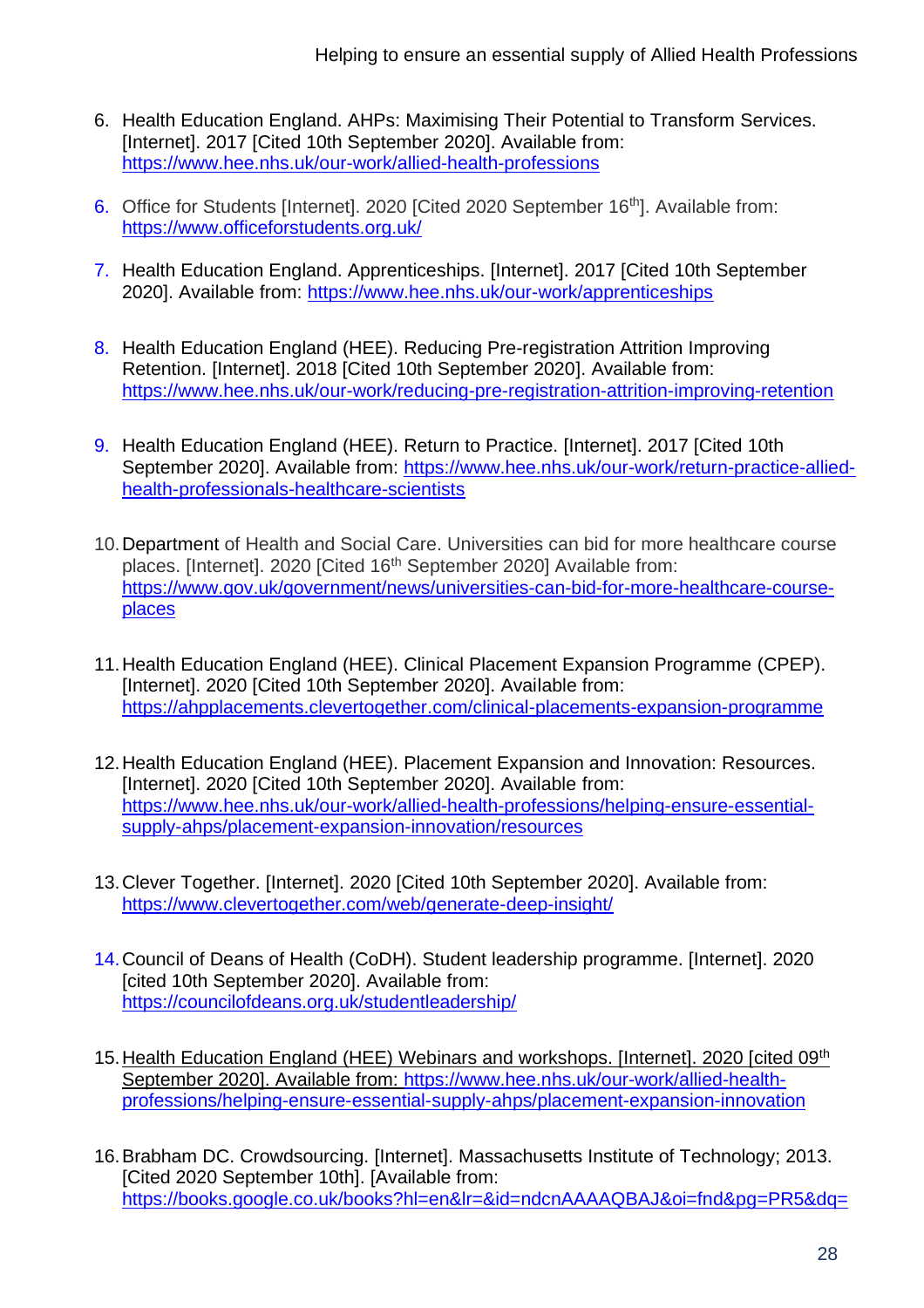- 6. Health Education England. AHPs: Maximising Their Potential to Transform Services. [Internet]. 2017 [Cited 10th September 2020]. Available from: <https://www.hee.nhs.uk/our-work/allied-health-professions>
- 6. Office for Students [Internet]. 2020 [Cited 2020 September 16<sup>th</sup>]. Available from: <https://www.officeforstudents.org.uk/>
- 7. Health Education England. Apprenticeships. [Internet]. 2017 [Cited 10th September 2020]. Available from:<https://www.hee.nhs.uk/our-work/apprenticeships>
- 8. Health Education England (HEE). Reducing Pre-registration Attrition Improving Retention. [Internet]. 2018 [Cited 10th September 2020]. Available from: <https://www.hee.nhs.uk/our-work/reducing-pre-registration-attrition-improving-retention>
- 9. Health Education England (HEE). Return to Practice. [Internet]. 2017 [Cited 10th September 2020]. Available from: [https://www.hee.nhs.uk/our-work/return-practice-allied](https://www.hee.nhs.uk/our-work/return-practice-allied-health-professionals-healthcare-scientists)[health-professionals-healthcare-scientists](https://www.hee.nhs.uk/our-work/return-practice-allied-health-professionals-healthcare-scientists)
- 10.Department of Health and Social Care. Universities can bid for more healthcare course places. [Internet]. 2020 [Cited 16<sup>th</sup> September 2020] Available from: [https://www.gov.uk/government/news/universities-can-bid-for-more-healthcare-course](https://www.gov.uk/government/news/universities-can-bid-for-more-healthcare-course-places)[places](https://www.gov.uk/government/news/universities-can-bid-for-more-healthcare-course-places)
- 11.Health Education England (HEE). Clinical Placement Expansion Programme (CPEP). [Internet]. 2020 [Cited 10th September 2020]. Available from: <https://ahpplacements.clevertogether.com/clinical-placements-expansion-programme>
- 12.Health Education England (HEE). Placement Expansion and Innovation: Resources. [Internet]. 2020 [Cited 10th September 2020]. Available from: [https://www.hee.nhs.uk/our-work/allied-health-professions/helping-ensure-essential](https://www.hee.nhs.uk/our-work/allied-health-professions/helping-ensure-essential-supply-ahps/placement-expansion-innovation/resources)[supply-ahps/placement-expansion-innovation/resources](https://www.hee.nhs.uk/our-work/allied-health-professions/helping-ensure-essential-supply-ahps/placement-expansion-innovation/resources)
- 13.Clever Together. [Internet]. 2020 [Cited 10th September 2020]. Available from: <https://www.clevertogether.com/web/generate-deep-insight/>
- 14.Council of Deans of Health (CoDH). Student leadership programme. [Internet]. 2020 [cited 10th September 2020]. Available from: <https://councilofdeans.org.uk/studentleadership/>
- 15.Health Education England (HEE) Webinars and workshops. [Internet]. 2020 [cited 09th September 2020]. Available from: [https://www.hee.nhs.uk/our-work/allied-health](https://www.hee.nhs.uk/our-work/allied-health-professions/helping-ensure-essential-supply-ahps/placement-expansion-innovation)[professions/helping-ensure-essential-supply-ahps/placement-expansion-innovation](https://www.hee.nhs.uk/our-work/allied-health-professions/helping-ensure-essential-supply-ahps/placement-expansion-innovation)
- 16.Brabham DC. Crowdsourcing. [Internet]. Massachusetts Institute of Technology; 2013. [Cited 2020 September 10th]. [Available from: [https://books.google.co.uk/books?hl=en&lr=&id=ndcnAAAAQBAJ&oi=fnd&pg=PR5&dq=](https://books.google.co.uk/books?hl=en&lr=&id=ndcnAAAAQBAJ&oi=fnd&pg=PR5&dq=brabham+2013&ots=WLFBgQNjYj&sig=RlmDkG3Us1pCWC77im5p0eJbPhg&redir_esc=y#v=onepage&q=brabham%202013&f=false)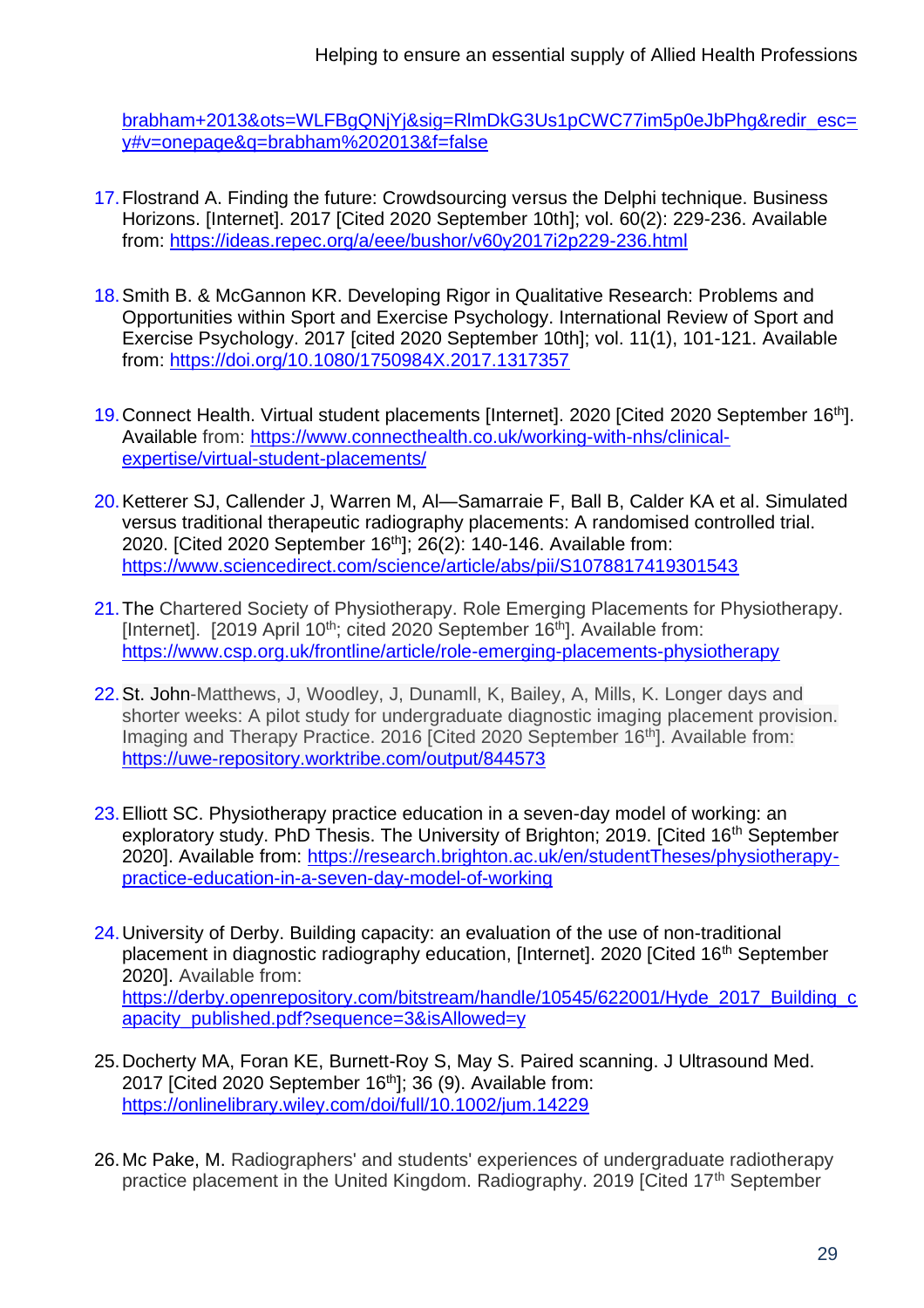[brabham+2013&ots=WLFBgQNjYj&sig=RlmDkG3Us1pCWC77im5p0eJbPhg&redir\\_esc=](https://books.google.co.uk/books?hl=en&lr=&id=ndcnAAAAQBAJ&oi=fnd&pg=PR5&dq=brabham+2013&ots=WLFBgQNjYj&sig=RlmDkG3Us1pCWC77im5p0eJbPhg&redir_esc=y#v=onepage&q=brabham%202013&f=false) [y#v=onepage&q=brabham%202013&f=false](https://books.google.co.uk/books?hl=en&lr=&id=ndcnAAAAQBAJ&oi=fnd&pg=PR5&dq=brabham+2013&ots=WLFBgQNjYj&sig=RlmDkG3Us1pCWC77im5p0eJbPhg&redir_esc=y#v=onepage&q=brabham%202013&f=false)

- 17.Flostrand A. Finding the future: Crowdsourcing versus the Delphi technique. Business Horizons. [Internet]. 2017 [Cited 2020 September 10th]; vol. 60(2): 229-236. Available from:<https://ideas.repec.org/a/eee/bushor/v60y2017i2p229-236.html>
- 18.Smith B. & McGannon KR. Developing Rigor in Qualitative Research: Problems and Opportunities within Sport and Exercise Psychology. International Review of Sport and Exercise Psychology. 2017 [cited 2020 September 10th]; vol. 11(1), 101-121. Available from:<https://doi.org/10.1080/1750984X.2017.1317357>
- 19. Connect Health. Virtual student placements [Internet]. 2020 [Cited 2020 September 16<sup>th</sup>]. Available from: https://www.connecthealth.co.uk/working-with-nhs/clinicalexpertise/virtual-student-placements/
- 20.Ketterer SJ, Callender J, Warren M, Al—Samarraie F, Ball B, Calder KA et al. Simulated versus traditional therapeutic radiography placements: A randomised controlled trial. 2020. [Cited 2020 September 16th]; 26(2): 140-146. Available from: <https://www.sciencedirect.com/science/article/abs/pii/S1078817419301543>
- 21.The Chartered Society of Physiotherapy. Role Emerging Placements for Physiotherapy. [Internet]. [2019 April 10<sup>th</sup>; cited 2020 September 16<sup>th</sup>]. Available from: <https://www.csp.org.uk/frontline/article/role-emerging-placements-physiotherapy>
- 22.St. John-Matthews, J, Woodley, J, Dunamll, K, Bailey, A, Mills, K. Longer days and shorter weeks: A pilot study for undergraduate diagnostic imaging placement provision. Imaging and Therapy Practice. 2016 [Cited 2020 September 16<sup>th</sup>]. Available from: <https://uwe-repository.worktribe.com/output/844573>
- 23.Elliott SC. Physiotherapy practice education in a seven-day model of working: an exploratory study. PhD Thesis. The University of Brighton; 2019. [Cited 16<sup>th</sup> September 2020]. Available from: [https://research.brighton.ac.uk/en/studentTheses/physiotherapy](https://research.brighton.ac.uk/en/studentTheses/physiotherapy-practice-education-in-a-seven-day-model-of-working)[practice-education-in-a-seven-day-model-of-working](https://research.brighton.ac.uk/en/studentTheses/physiotherapy-practice-education-in-a-seven-day-model-of-working)
- 24.University of Derby. Building capacity: an evaluation of the use of non-traditional placement in diagnostic radiography education, [Internet]. 2020 [Cited 16<sup>th</sup> September 2020]. Available from: [https://derby.openrepository.com/bitstream/handle/10545/622001/Hyde\\_2017\\_Building\\_c](https://derby.openrepository.com/bitstream/handle/10545/622001/Hyde_2017_Building_capacity_published.pdf?sequence=3&isAllowed=y) [apacity\\_published.pdf?sequence=3&isAllowed=y](https://derby.openrepository.com/bitstream/handle/10545/622001/Hyde_2017_Building_capacity_published.pdf?sequence=3&isAllowed=y)
- 25.Docherty MA, Foran KE, Burnett-Roy S, May S. Paired scanning. J Ultrasound Med. 2017 [Cited 2020 September 16<sup>th</sup>]; 36 (9). Available from: <https://onlinelibrary.wiley.com/doi/full/10.1002/jum.14229>
- 26.Mc Pake, M. Radiographers' and students' experiences of undergraduate radiotherapy practice placement in the United Kingdom. Radiography. 2019 [Cited 17th September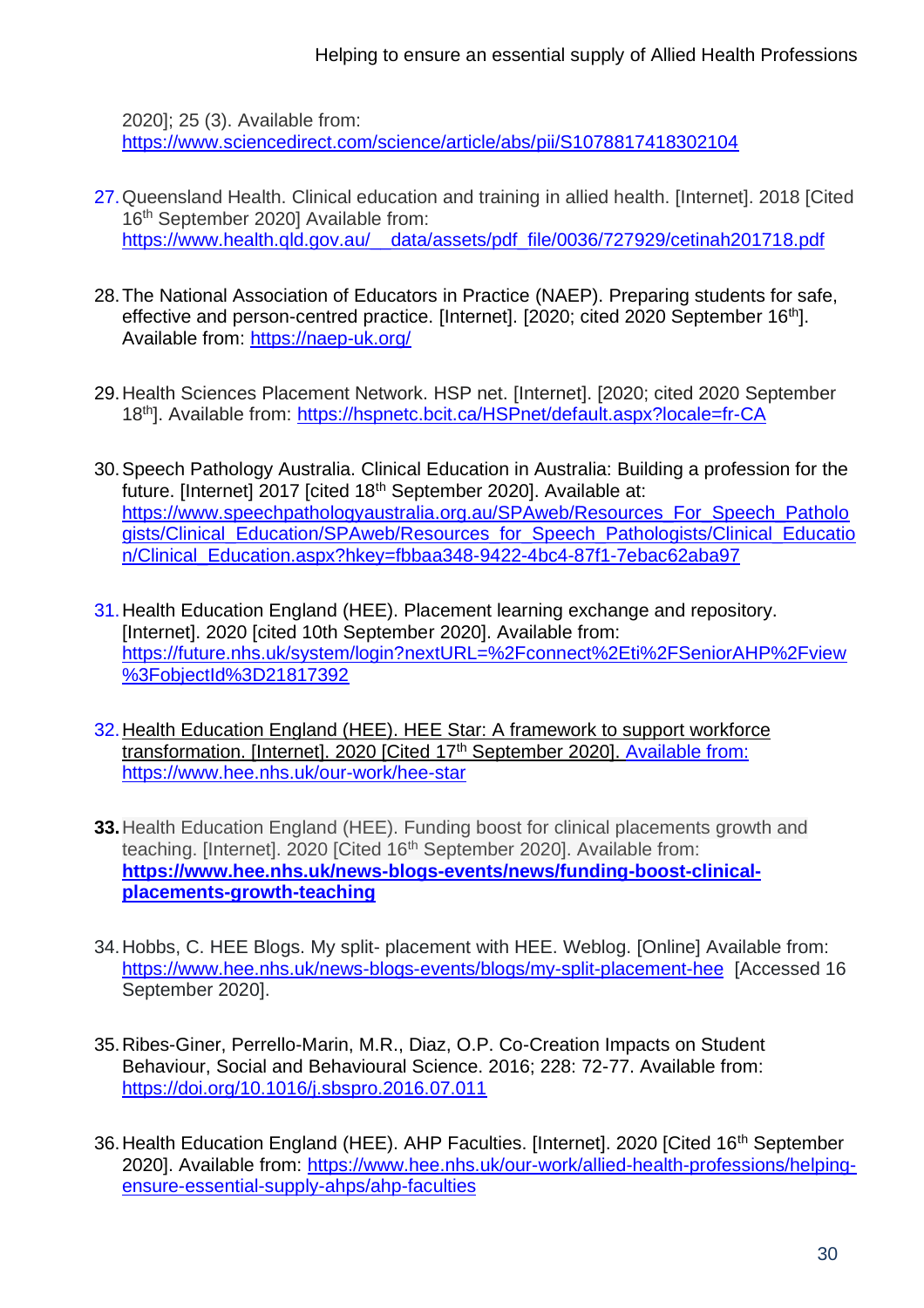2020]; 25 (3). Available from: <https://www.sciencedirect.com/science/article/abs/pii/S1078817418302104>

- 27.Queensland Health. Clinical education and training in allied health. [Internet]. 2018 [Cited 16<sup>th</sup> September 2020] Available from: https://www.health.qld.gov.au/ data/assets/pdf file/0036/727929/cetinah201718.pdf
- 28.The National Association of Educators in Practice (NAEP). Preparing students for safe, effective and person-centred practice. [Internet]. [2020; cited 2020 September 16<sup>th</sup>]. Available from:<https://naep-uk.org/>
- 29.Health Sciences Placement Network. HSP net. [Internet]. [2020; cited 2020 September 18th]. Available from: [https://hspnetc.bcit.ca/HSPnet/default.aspx?locale=fr-CA](https://eur01.safelinks.protection.outlook.com/?url=https%3A%2F%2Fhspnetc.bcit.ca%2FHSPnet%2Fdefault.aspx%3Flocale%3Dfr-CA&data=02%7C01%7CJanice.Stjohn-Matthews%40uwe.ac.uk%7C939484365272415f058f08d85bc081f5%7C07ef1208413c4b5e9cdd64ef305754f0%7C0%7C0%7C637360229664810202&sdata=Yl6xTtfgpSEmKc1kjgrehLhu%2BWJqTOe9ADkJkx8zzEM%3D&reserved=0)
- 30.Speech Pathology Australia. Clinical Education in Australia: Building a profession for the future. [Internet] 2017 [cited 18<sup>th</sup> September 2020]. Available at: [https://www.speechpathologyaustralia.org.au/SPAweb/Resources\\_For\\_Speech\\_Patholo](https://www.speechpathologyaustralia.org.au/SPAweb/Resources_For_Speech_Pathologists/Clinical_Education/SPAweb/Resources_for_Speech_Pathologists/Clinical_Education/Clinical_Education.aspx?hkey=fbbaa348-9422-4bc4-87f1-7ebac62aba97) [gists/Clinical\\_Education/SPAweb/Resources\\_for\\_Speech\\_Pathologists/Clinical\\_Educatio](https://www.speechpathologyaustralia.org.au/SPAweb/Resources_For_Speech_Pathologists/Clinical_Education/SPAweb/Resources_for_Speech_Pathologists/Clinical_Education/Clinical_Education.aspx?hkey=fbbaa348-9422-4bc4-87f1-7ebac62aba97) [n/Clinical\\_Education.aspx?hkey=fbbaa348-9422-4bc4-87f1-7ebac62aba97](https://www.speechpathologyaustralia.org.au/SPAweb/Resources_For_Speech_Pathologists/Clinical_Education/SPAweb/Resources_for_Speech_Pathologists/Clinical_Education/Clinical_Education.aspx?hkey=fbbaa348-9422-4bc4-87f1-7ebac62aba97)
- 31.Health Education England (HEE). Placement learning exchange and repository. [Internet]. 2020 [cited 10th September 2020]. Available from: [https://future.nhs.uk/system/login?nextURL=%2Fconnect%2Eti%2FSeniorAHP%2Fview](https://future.nhs.uk/system/login?nextURL=%2Fconnect%2Eti%2FSeniorAHP%2Fview%3FobjectId%3D21817392) [%3FobjectId%3D21817392](https://future.nhs.uk/system/login?nextURL=%2Fconnect%2Eti%2FSeniorAHP%2Fview%3FobjectId%3D21817392)
- 32.Health Education England (HEE). HEE Star: A framework to support workforce transformation. [Internet]. 2020 [Cited 17<sup>th</sup> September 2020]. Available from: <https://www.hee.nhs.uk/our-work/hee-star>
- **33.**Health Education England (HEE). Funding boost for clinical placements growth and teaching. [Internet]. 2020 [Cited 16<sup>th</sup> September 2020]. Available from: **[https://www.hee.nhs.uk/news-blogs-events/news/funding-boost-clinical](https://www.hee.nhs.uk/news-blogs-events/news/funding-boost-clinical-placements-growth-teaching)[placements-growth-teaching](https://www.hee.nhs.uk/news-blogs-events/news/funding-boost-clinical-placements-growth-teaching)**
- 34.Hobbs, C. HEE Blogs. My split- placement with HEE. Weblog. [Online] Available from: <https://www.hee.nhs.uk/news-blogs-events/blogs/my-split-placement-hee> [Accessed 16 September 2020].
- 35.Ribes-Giner, Perrello-Marin, M.R., Diaz, O.P. Co-Creation Impacts on Student Behaviour, Social and Behavioural Science. 2016; 228: 72-77. Available from: <https://doi.org/10.1016/j.sbspro.2016.07.011>
- 36. Health Education England (HEE). AHP Faculties. [Internet]. 2020 [Cited 16<sup>th</sup> September 2020]. Available from: [https://www.hee.nhs.uk/our-work/allied-health-professions/helping](https://www.hee.nhs.uk/our-work/allied-health-professions/helping-ensure-essential-supply-ahps/ahp-faculties)[ensure-essential-supply-ahps/ahp-faculties](https://www.hee.nhs.uk/our-work/allied-health-professions/helping-ensure-essential-supply-ahps/ahp-faculties)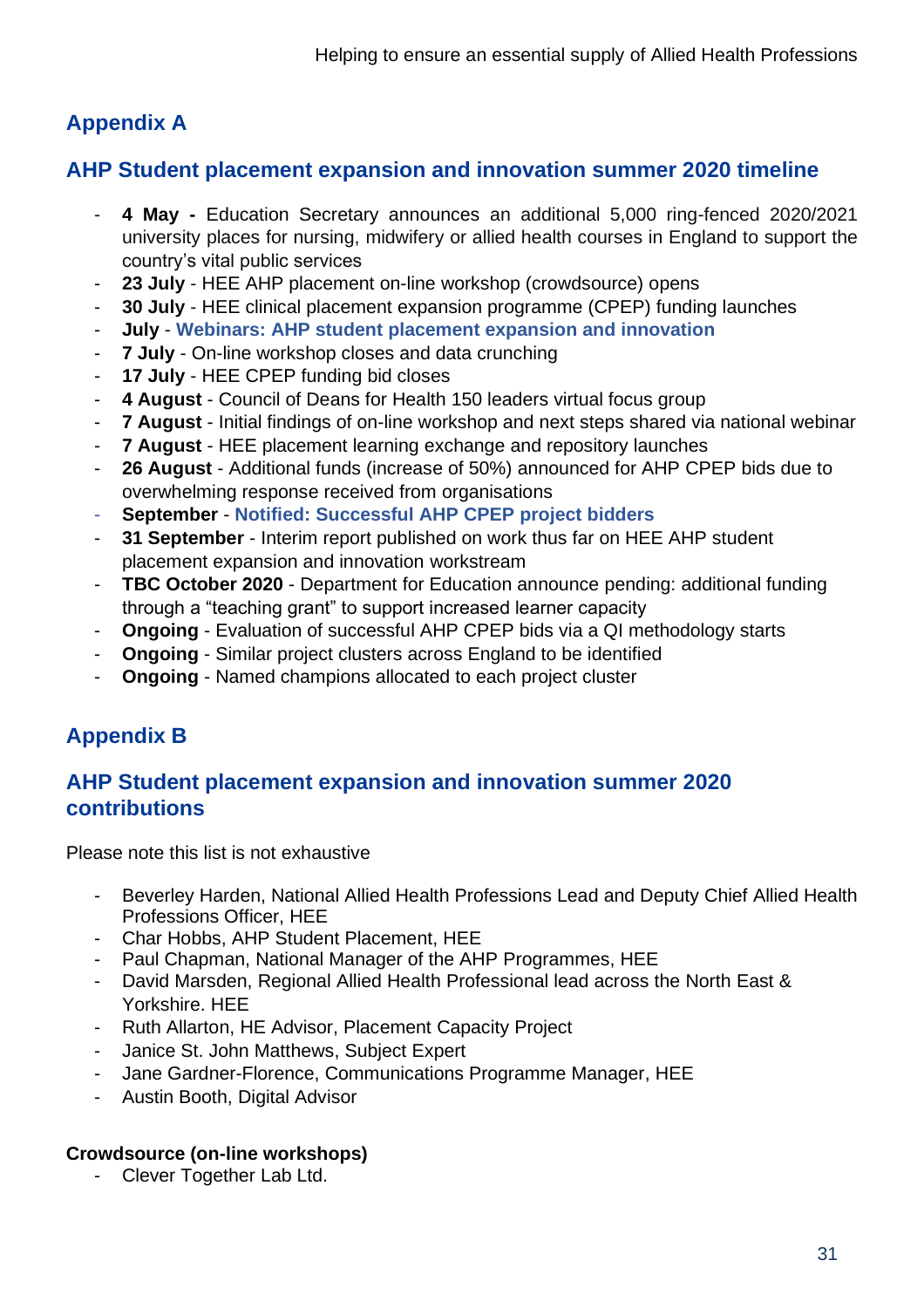# **Appendix A**

# **AHP Student placement expansion and innovation summer 2020 timeline**

- **4 May -** Education Secretary announces an additional 5,000 ring-fenced 2020/2021 university places for nursing, midwifery or allied health courses in England to support the country's vital public services
- **23 July** HEE AHP placement on-line workshop (crowdsource) opens
- 30 July HEE clinical placement expansion programme (CPEP) funding launches
- **July Webinars: AHP student placement expansion and innovation**
- 7 July On-line workshop closes and data crunching
- 17 July HEE CPEP funding bid closes
- **4 August** Council of Deans for Health 150 leaders virtual focus group
- **7 August** Initial findings of on-line workshop and next steps shared via national webinar
- **7 August** HEE placement learning exchange and repository launches
- **26 August** Additional funds (increase of 50%) announced for AHP CPEP bids due to overwhelming response received from organisations
- **September Notified: Successful AHP CPEP project bidders**
- 31 September Interim report published on work thus far on HEE AHP student placement expansion and innovation workstream
- **TBC October 2020** Department for Education announce pending: additional funding through a "teaching grant" to support increased learner capacity
- **Ongoing** Evaluation of successful AHP CPEP bids via a QI methodology starts
- **Ongoing** Similar project clusters across England to be identified
- **Ongoing** Named champions allocated to each project cluster

# **Appendix B**

# **AHP Student placement expansion and innovation summer 2020 contributions**

Please note this list is not exhaustive

- Beverley Harden, National Allied Health Professions Lead and Deputy Chief Allied Health Professions Officer, HEE
- Char Hobbs, AHP Student Placement, HEE
- Paul Chapman, National Manager of the AHP Programmes, HEE
- David Marsden, Regional Allied Health Professional lead across the North East & Yorkshire. HEE
- Ruth Allarton, HE Advisor, Placement Capacity Project
- Janice St. John Matthews, Subject Expert
- Jane Gardner-Florence, Communications Programme Manager, HEE
- Austin Booth, Digital Advisor

#### **Crowdsource (on-line workshops)**

- Clever Together Lab Ltd.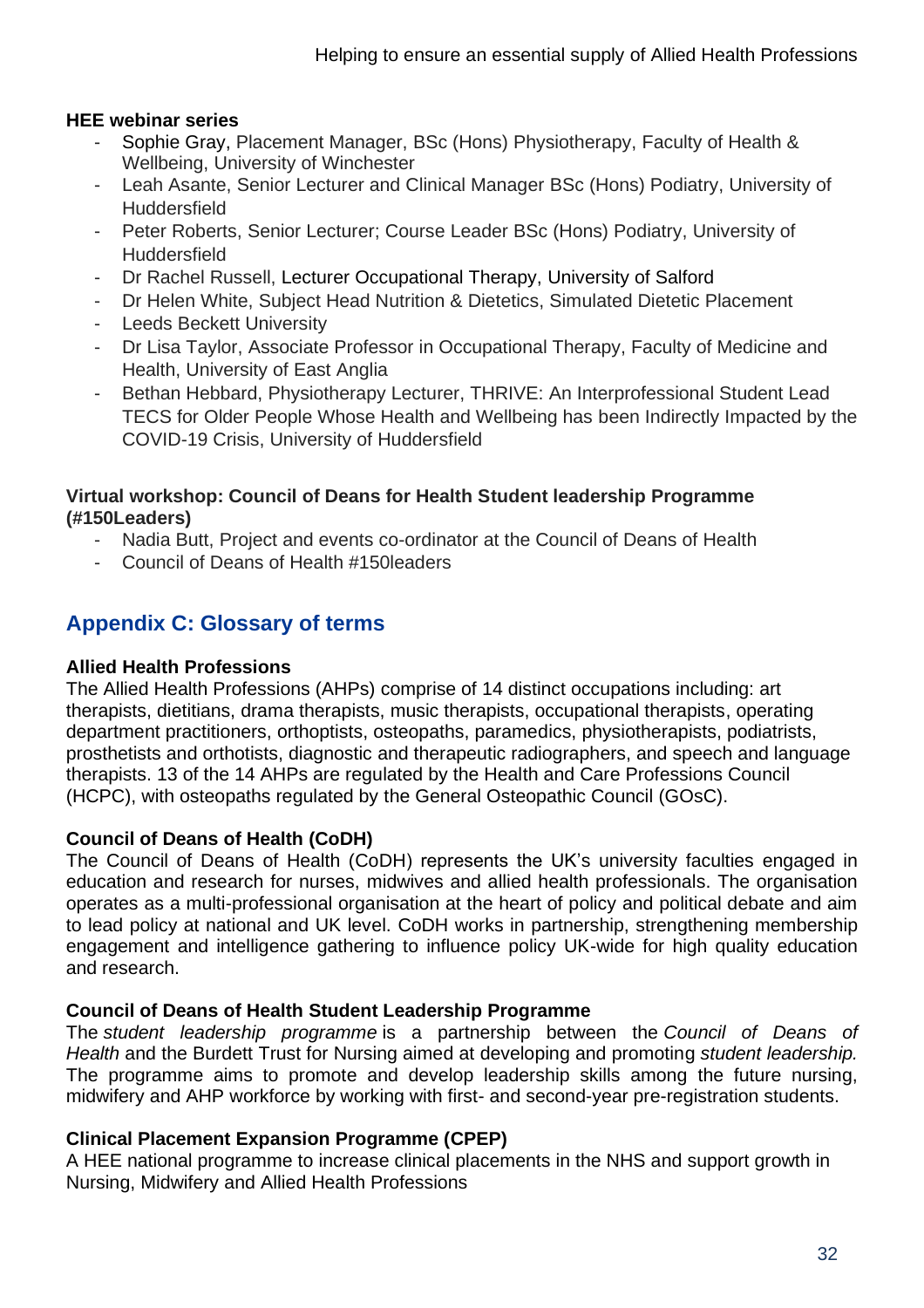#### **HEE webinar series**

- Sophie Gray, Placement Manager, BSc (Hons) Physiotherapy, Faculty of Health & Wellbeing, University of Winchester
- Leah Asante, Senior Lecturer and Clinical Manager BSc (Hons) Podiatry, University of **Huddersfield**
- Peter Roberts, Senior Lecturer; Course Leader BSc (Hons) Podiatry, University of **Huddersfield**
- Dr Rachel Russell, Lecturer Occupational Therapy, University of Salford
- Dr Helen White, Subject Head Nutrition & Dietetics, Simulated Dietetic Placement
- Leeds Beckett University
- Dr Lisa Taylor, Associate Professor in Occupational Therapy, Faculty of Medicine and Health, University of East Anglia
- Bethan Hebbard, Physiotherapy Lecturer, THRIVE: An Interprofessional Student Lead TECS for Older People Whose Health and Wellbeing has been Indirectly Impacted by the COVID-19 Crisis, University of Huddersfield

#### **Virtual workshop: Council of Deans for Health Student leadership Programme (#150Leaders)**

- Nadia Butt, Project and events co-ordinator at the Council of Deans of Health
- Council of Deans of Health #150leaders

# **Appendix C: Glossary of terms**

#### **Allied Health Professions**

The Allied Health Professions (AHPs) comprise of 14 distinct occupations including: art therapists, dietitians, drama therapists, music therapists, occupational therapists, operating department practitioners, orthoptists, osteopaths, paramedics, physiotherapists, podiatrists, prosthetists and orthotists, diagnostic and therapeutic radiographers, and speech and language therapists. 13 of the 14 AHPs are regulated by the Health and Care Professions Council (HCPC), with osteopaths regulated by the General Osteopathic Council (GOsC).

#### **Council of Deans of Health (CoDH)**

The Council of Deans of Health (CoDH) represents the UK's university faculties engaged in education and research for nurses, midwives and allied health professionals. The organisation operates as a multi-professional organisation at the heart of policy and political debate and aim to lead policy at national and UK level. CoDH works in partnership, strengthening membership engagement and intelligence gathering to influence policy UK-wide for high quality education and research.

#### **Council of Deans of Health Student Leadership Programme**

The *student leadership programme* is a partnership between the *Council of Deans of Health* and the Burdett Trust for Nursing aimed at developing and promoting *student leadership.*  The programme aims to promote and develop leadership skills among the future nursing, midwifery and AHP workforce by working with first- and second-year pre-registration students.

#### **Clinical Placement Expansion Programme (CPEP)**

A HEE national programme to increase clinical placements in the NHS and support growth in Nursing, Midwifery and Allied Health Professions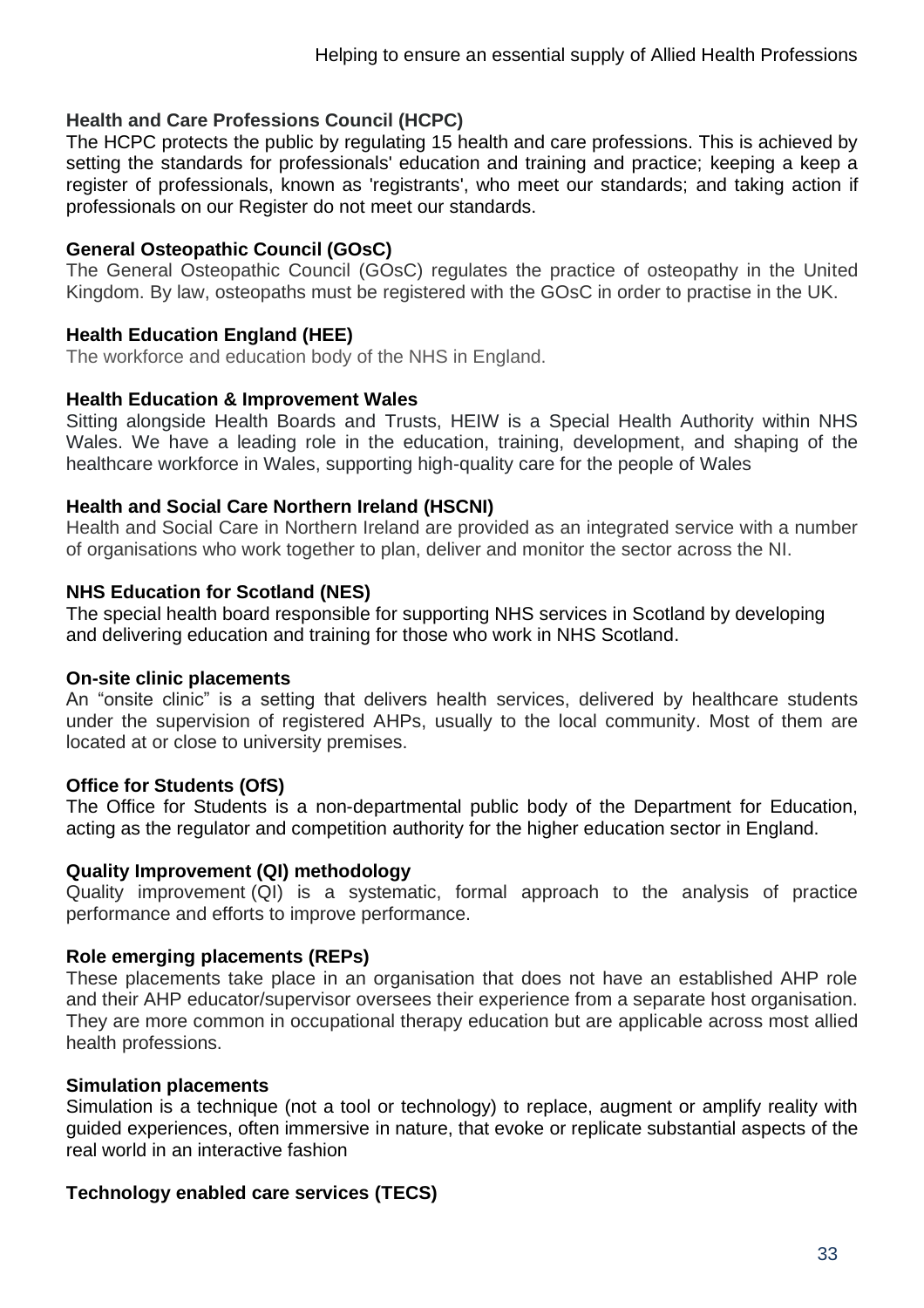#### **Health and Care Professions Council (HCPC)**

The HCPC protects the public by regulating 15 health and care professions. This is achieved by setting the standards for professionals' education and training and practice; keeping a keep a register of professionals, known as 'registrants', who meet our standards; and taking action if professionals on our Register do not meet our standards.

#### **General Osteopathic Council (GOsC)**

The General Osteopathic Council (GOsC) regulates the practice of osteopathy in the United Kingdom. By law, osteopaths must be registered with the GOsC in order to practise in the UK.

#### **Health Education England (HEE)**

The workforce and education body of the NHS in England.

#### **Health Education & Improvement Wales**

Sitting alongside Health Boards and Trusts, HEIW is a Special Health Authority within NHS Wales. We have a leading role in the education, training, development, and shaping of the healthcare workforce in Wales, supporting high-quality care for the people of Wales

#### **Health and Social Care Northern Ireland (HSCNI)**

Health and Social Care in Northern Ireland are provided as an integrated service with a number of organisations who work together to plan, deliver and monitor the sector across the NI.

#### **NHS Education for Scotland (NES)**

The special health board responsible for supporting NHS services in Scotland by developing and delivering education and training for those who work in NHS Scotland.

#### **On-site clinic placements**

An "onsite clinic" is a setting that delivers health services, delivered by healthcare students under the supervision of registered AHPs, usually to the local community. Most of them are located at or close to university premises.

#### **Office for Students (OfS)**

The Office for Students is a non-departmental public body of the Department for Education, acting as the regulator and competition authority for the higher education sector in England.

#### **Quality Improvement (QI) methodology**

Quality improvement (QI) is a systematic, formal approach to the analysis of practice performance and efforts to improve performance.

#### **Role emerging placements (REPs)**

These placements take place in an organisation that does not have an established AHP role and their AHP educator/supervisor oversees their experience from a separate host organisation. They are more common in occupational therapy education but are applicable across most allied health professions.

#### **Simulation placements**

Simulation is a technique (not a tool or technology) to replace, augment or amplify reality with guided experiences, often immersive in nature, that evoke or replicate substantial aspects of the real world in an interactive fashion

#### **Technology enabled care services (TECS)**